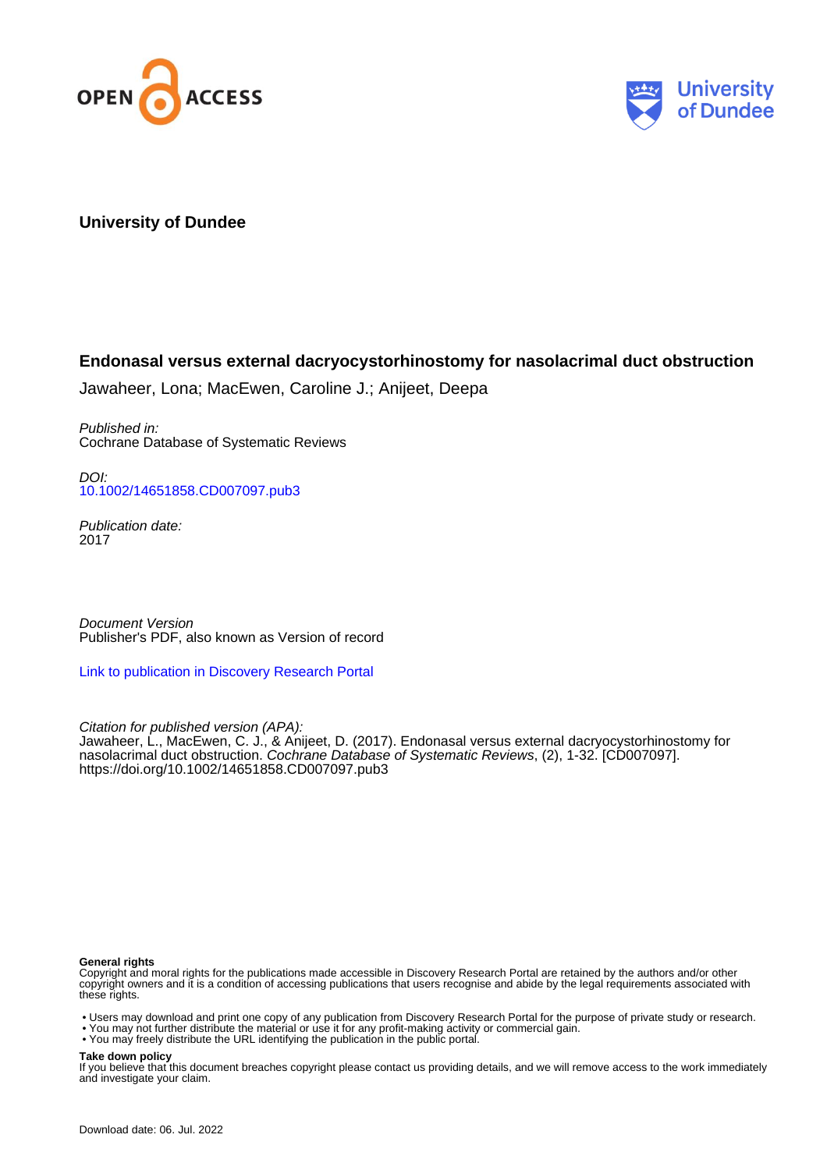



# **University of Dundee**

# **Endonasal versus external dacryocystorhinostomy for nasolacrimal duct obstruction**

Jawaheer, Lona; MacEwen, Caroline J.; Anijeet, Deepa

Published in: Cochrane Database of Systematic Reviews

DOI: [10.1002/14651858.CD007097.pub3](https://doi.org/10.1002/14651858.CD007097.pub3)

Publication date: 2017

Document Version Publisher's PDF, also known as Version of record

[Link to publication in Discovery Research Portal](https://discovery.dundee.ac.uk/en/publications/2d1576fb-f1e2-457e-b39f-3e81e77e7199)

Citation for published version (APA):

Jawaheer, L., MacEwen, C. J., & Anijeet, D. (2017). Endonasal versus external dacryocystorhinostomy for nasolacrimal duct obstruction. Cochrane Database of Systematic Reviews, (2), 1-32. [CD007097]. <https://doi.org/10.1002/14651858.CD007097.pub3>

#### **General rights**

Copyright and moral rights for the publications made accessible in Discovery Research Portal are retained by the authors and/or other copyright owners and it is a condition of accessing publications that users recognise and abide by the legal requirements associated with these rights.

- Users may download and print one copy of any publication from Discovery Research Portal for the purpose of private study or research.
- You may not further distribute the material or use it for any profit-making activity or commercial gain.
- You may freely distribute the URL identifying the publication in the public portal.

#### **Take down policy**

If you believe that this document breaches copyright please contact us providing details, and we will remove access to the work immediately and investigate your claim.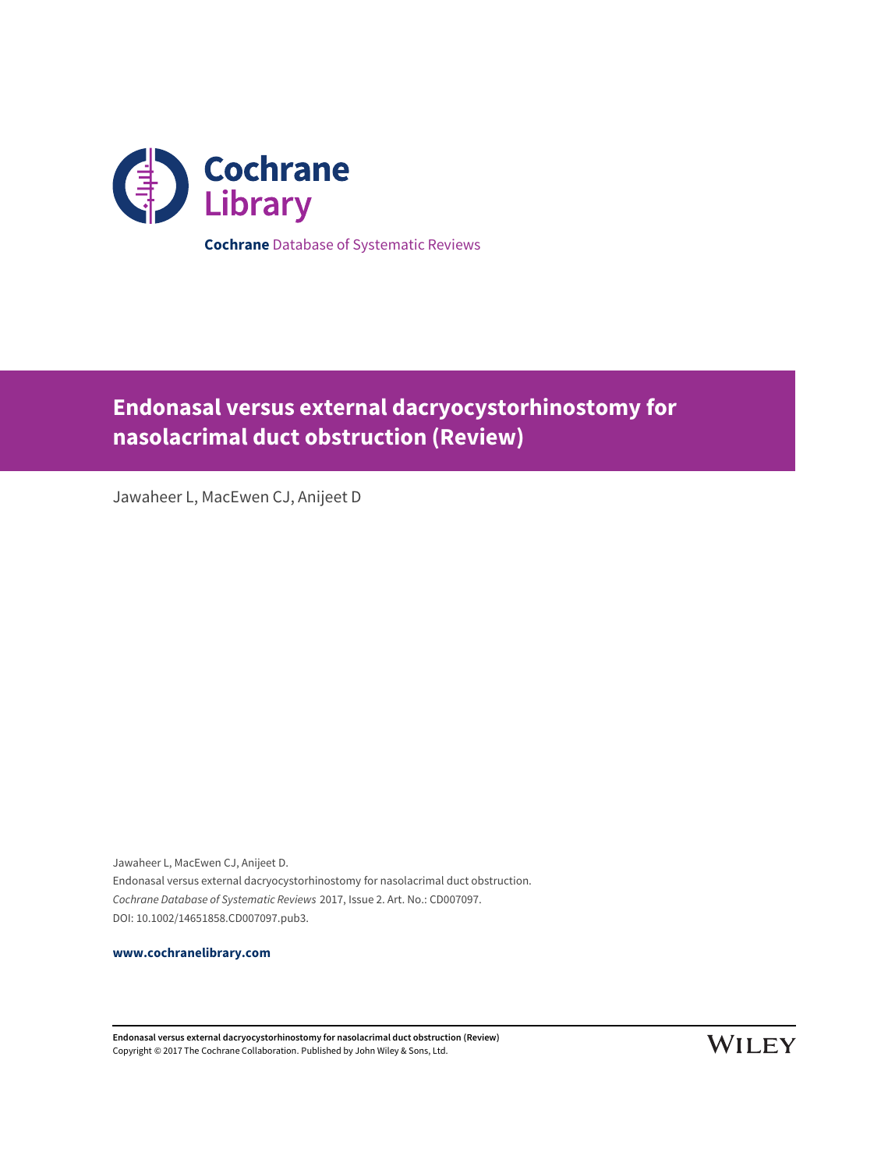

**Endonasal versus external dacryocystorhinostomy for**

**nasolacrimal duct obstruction (Review)**

Jawaheer L, MacEwen CJ, Anijeet D

Jawaheer L, MacEwen CJ, Anijeet D. Endonasal versus external dacryocystorhinostomy for nasolacrimal duct obstruction. Cochrane Database of Systematic Reviews 2017, Issue 2. Art. No.: CD007097. DOI: 10.1002/14651858.CD007097.pub3.

**[www.cochranelibrary.com](http://www.cochranelibrary.com)**

**Endonasal versus external dacryocystorhinostomy for nasolacrimal duct obstruction (Review)** Copyright © 2017 The Cochrane Collaboration. Published by John Wiley & Sons, Ltd.

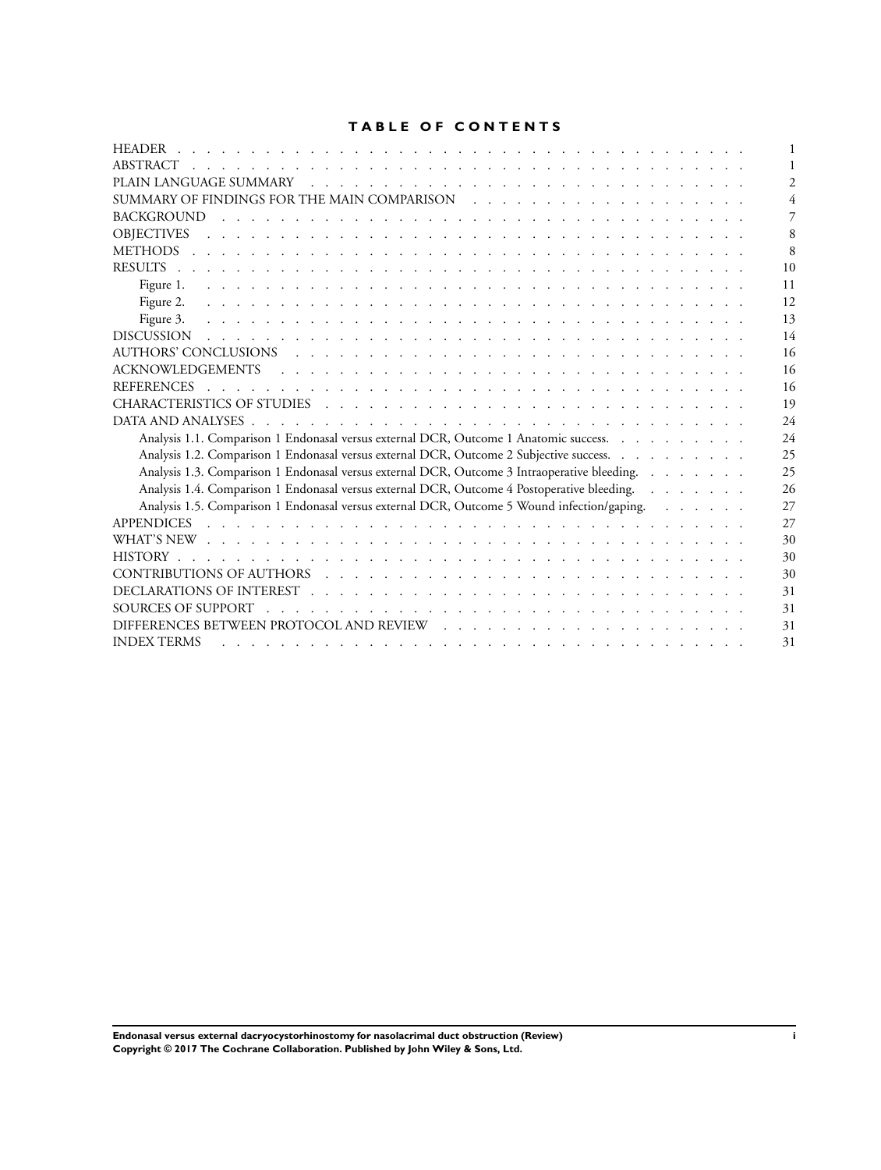# **TABLE OF CONTENTS**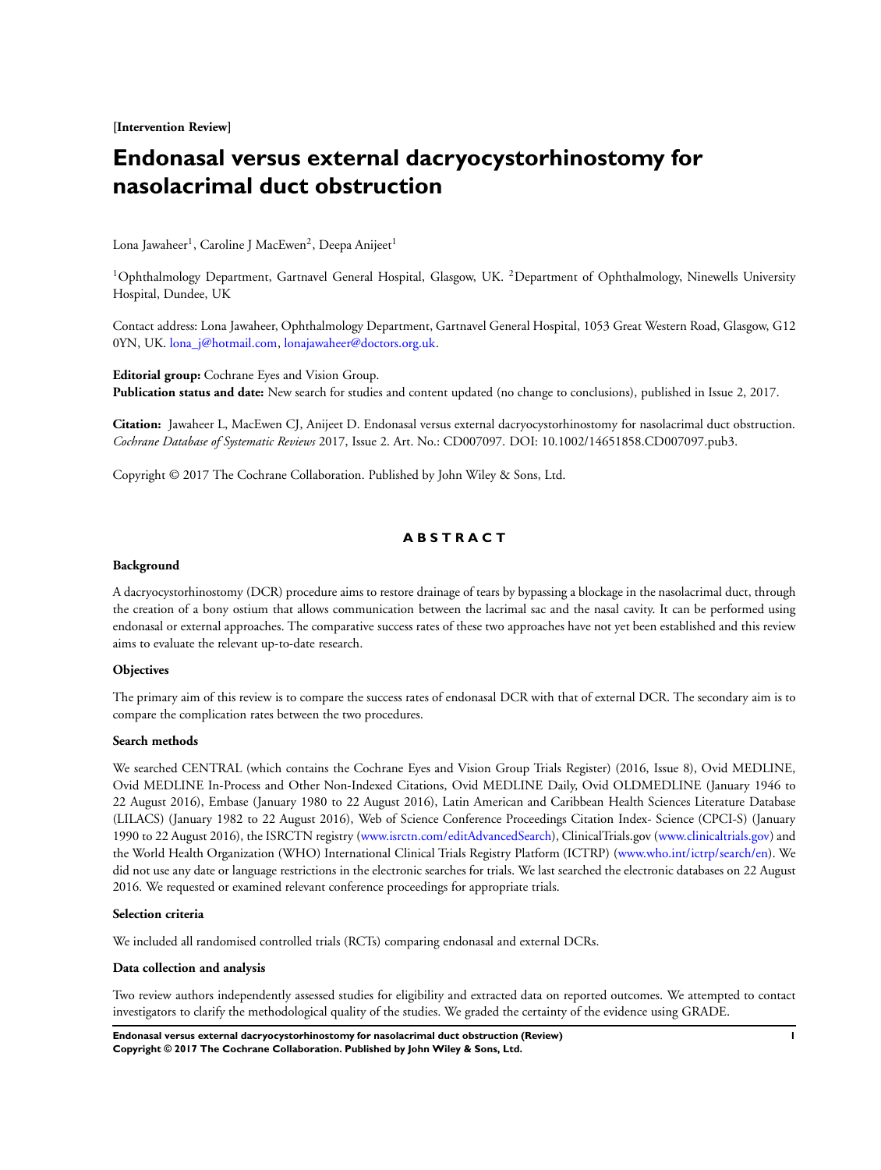**[Intervention Review]**

# **Endonasal versus external dacryocystorhinostomy for nasolacrimal duct obstruction**

Lona Jawaheer<sup>1</sup>, Caroline J MacEwen<sup>2</sup>, Deepa Anijeet<sup>1</sup>

<sup>1</sup>Ophthalmology Department, Gartnavel General Hospital, Glasgow, UK. <sup>2</sup>Department of Ophthalmology, Ninewells University Hospital, Dundee, UK

Contact address: Lona Jawaheer, Ophthalmology Department, Gartnavel General Hospital, 1053 Great Western Road, Glasgow, G12 0YN, UK. [lona\\_j@hotmail.com,](mailto:lonachar "A8penalty z@ j@hotmail.com) [lonajawaheer@doctors.org.uk.](mailto:lonajawaheer@doctors.org.uk)

**Editorial group:** Cochrane Eyes and Vision Group. **Publication status and date:** New search for studies and content updated (no change to conclusions), published in Issue 2, 2017.

**Citation:** Jawaheer L, MacEwen CJ, Anijeet D. Endonasal versus external dacryocystorhinostomy for nasolacrimal duct obstruction. *Cochrane Database of Systematic Reviews* 2017, Issue 2. Art. No.: CD007097. DOI: 10.1002/14651858.CD007097.pub3.

Copyright © 2017 The Cochrane Collaboration. Published by John Wiley & Sons, Ltd.

# **A B S T R A C T**

#### **Background**

A dacryocystorhinostomy (DCR) procedure aims to restore drainage of tears by bypassing a blockage in the nasolacrimal duct, through the creation of a bony ostium that allows communication between the lacrimal sac and the nasal cavity. It can be performed using endonasal or external approaches. The comparative success rates of these two approaches have not yet been established and this review aims to evaluate the relevant up-to-date research.

#### **Objectives**

The primary aim of this review is to compare the success rates of endonasal DCR with that of external DCR. The secondary aim is to compare the complication rates between the two procedures.

#### **Search methods**

We searched CENTRAL (which contains the Cochrane Eyes and Vision Group Trials Register) (2016, Issue 8), Ovid MEDLINE, Ovid MEDLINE In-Process and Other Non-Indexed Citations, Ovid MEDLINE Daily, Ovid OLDMEDLINE (January 1946 to 22 August 2016), Embase (January 1980 to 22 August 2016), Latin American and Caribbean Health Sciences Literature Database (LILACS) (January 1982 to 22 August 2016), Web of Science Conference Proceedings Citation Index- Science (CPCI-S) (January 1990 to 22 August 2016), the ISRCTN registry ([www.isrctn.com/editAdvancedSearch\)](http://www.isrctn.com/editAdvancedSearch), ClinicalTrials.gov [\(www.clinicaltrials.gov\)](http://www.clinicaltrials.gov/) and the World Health Organization (WHO) International Clinical Trials Registry Platform (ICTRP) ([www.who.int/ictrp/search/en](http://www.who.int/ictrp/search/en)). We did not use any date or language restrictions in the electronic searches for trials. We last searched the electronic databases on 22 August 2016. We requested or examined relevant conference proceedings for appropriate trials.

#### **Selection criteria**

We included all randomised controlled trials (RCTs) comparing endonasal and external DCRs.

#### **Data collection and analysis**

Two review authors independently assessed studies for eligibility and extracted data on reported outcomes. We attempted to contact investigators to clarify the methodological quality of the studies. We graded the certainty of the evidence using GRADE.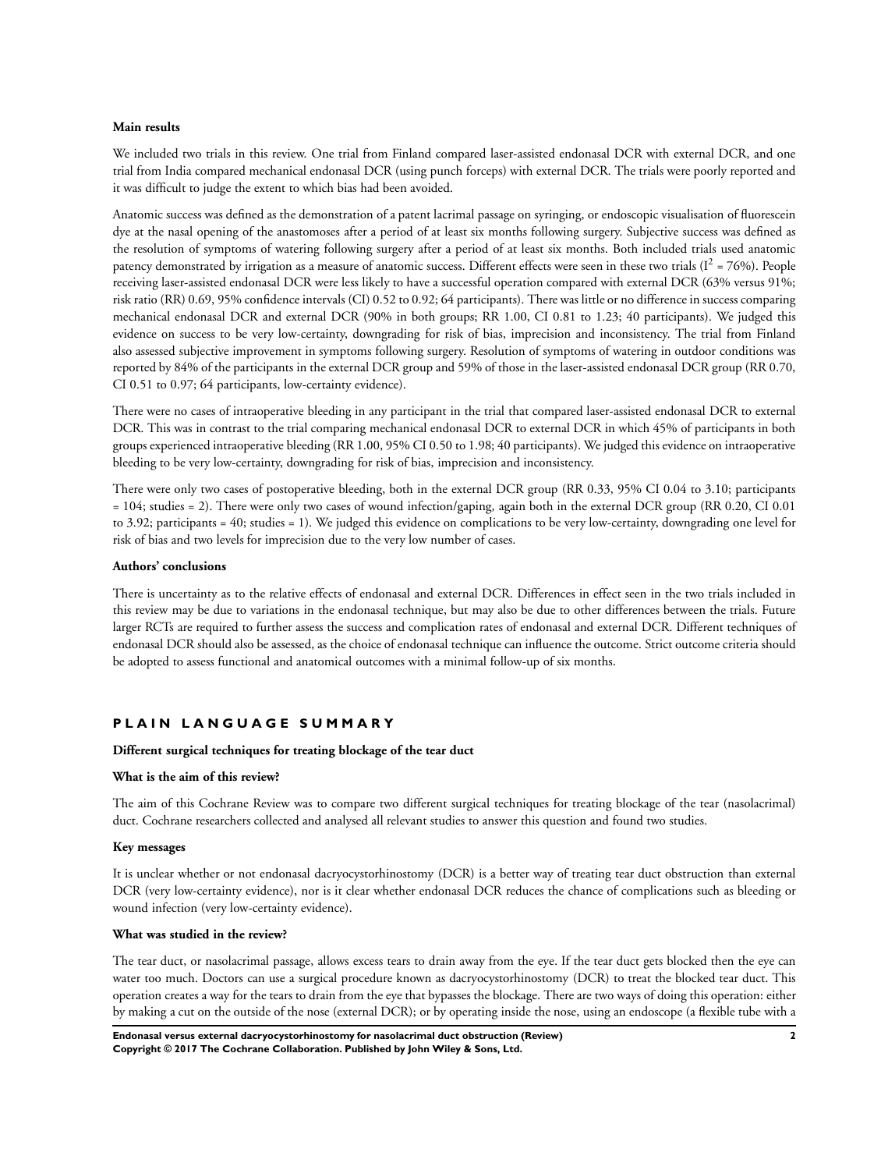#### **Main results**

We included two trials in this review. One trial from Finland compared laser-assisted endonasal DCR with external DCR, and one trial from India compared mechanical endonasal DCR (using punch forceps) with external DCR. The trials were poorly reported and it was difficult to judge the extent to which bias had been avoided.

Anatomic success was defined as the demonstration of a patent lacrimal passage on syringing, or endoscopic visualisation of fluorescein dye at the nasal opening of the anastomoses after a period of at least six months following surgery. Subjective success was defined as the resolution of symptoms of watering following surgery after a period of at least six months. Both included trials used anatomic patency demonstrated by irrigation as a measure of anatomic success. Different effects were seen in these two trials  $(I^2 = 76\%)$ . People receiving laser-assisted endonasal DCR were less likely to have a successful operation compared with external DCR (63% versus 91%; risk ratio (RR) 0.69, 95% confidence intervals (CI) 0.52 to 0.92; 64 participants). There was little or no difference in success comparing mechanical endonasal DCR and external DCR (90% in both groups; RR 1.00, CI 0.81 to 1.23; 40 participants). We judged this evidence on success to be very low-certainty, downgrading for risk of bias, imprecision and inconsistency. The trial from Finland also assessed subjective improvement in symptoms following surgery. Resolution of symptoms of watering in outdoor conditions was reported by 84% of the participants in the external DCR group and 59% of those in the laser-assisted endonasal DCR group (RR 0.70, CI 0.51 to 0.97; 64 participants, low-certainty evidence).

There were no cases of intraoperative bleeding in any participant in the trial that compared laser-assisted endonasal DCR to external DCR. This was in contrast to the trial comparing mechanical endonasal DCR to external DCR in which 45% of participants in both groups experienced intraoperative bleeding (RR 1.00, 95% CI 0.50 to 1.98; 40 participants). We judged this evidence on intraoperative bleeding to be very low-certainty, downgrading for risk of bias, imprecision and inconsistency.

There were only two cases of postoperative bleeding, both in the external DCR group (RR 0.33, 95% CI 0.04 to 3.10; participants = 104; studies = 2). There were only two cases of wound infection/gaping, again both in the external DCR group (RR 0.20, CI 0.01 to 3.92; participants = 40; studies = 1). We judged this evidence on complications to be very low-certainty, downgrading one level for risk of bias and two levels for imprecision due to the very low number of cases.

#### **Authors' conclusions**

There is uncertainty as to the relative effects of endonasal and external DCR. Differences in effect seen in the two trials included in this review may be due to variations in the endonasal technique, but may also be due to other differences between the trials. Future larger RCTs are required to further assess the success and complication rates of endonasal and external DCR. Different techniques of endonasal DCR should also be assessed, as the choice of endonasal technique can influence the outcome. Strict outcome criteria should be adopted to assess functional and anatomical outcomes with a minimal follow-up of six months.

# **P L A I N L A N G U A G E S U M M A R Y**

#### **Different surgical techniques for treating blockage of the tear duct**

#### **What is the aim of this review?**

The aim of this Cochrane Review was to compare two different surgical techniques for treating blockage of the tear (nasolacrimal) duct. Cochrane researchers collected and analysed all relevant studies to answer this question and found two studies.

#### **Key messages**

It is unclear whether or not endonasal dacryocystorhinostomy (DCR) is a better way of treating tear duct obstruction than external DCR (very low-certainty evidence), nor is it clear whether endonasal DCR reduces the chance of complications such as bleeding or wound infection (very low-certainty evidence).

#### **What was studied in the review?**

The tear duct, or nasolacrimal passage, allows excess tears to drain away from the eye. If the tear duct gets blocked then the eye can water too much. Doctors can use a surgical procedure known as dacryocystorhinostomy (DCR) to treat the blocked tear duct. This operation creates a way for the tears to drain from the eye that bypasses the blockage. There are two ways of doing this operation: either by making a cut on the outside of the nose (external DCR); or by operating inside the nose, using an endoscope (a flexible tube with a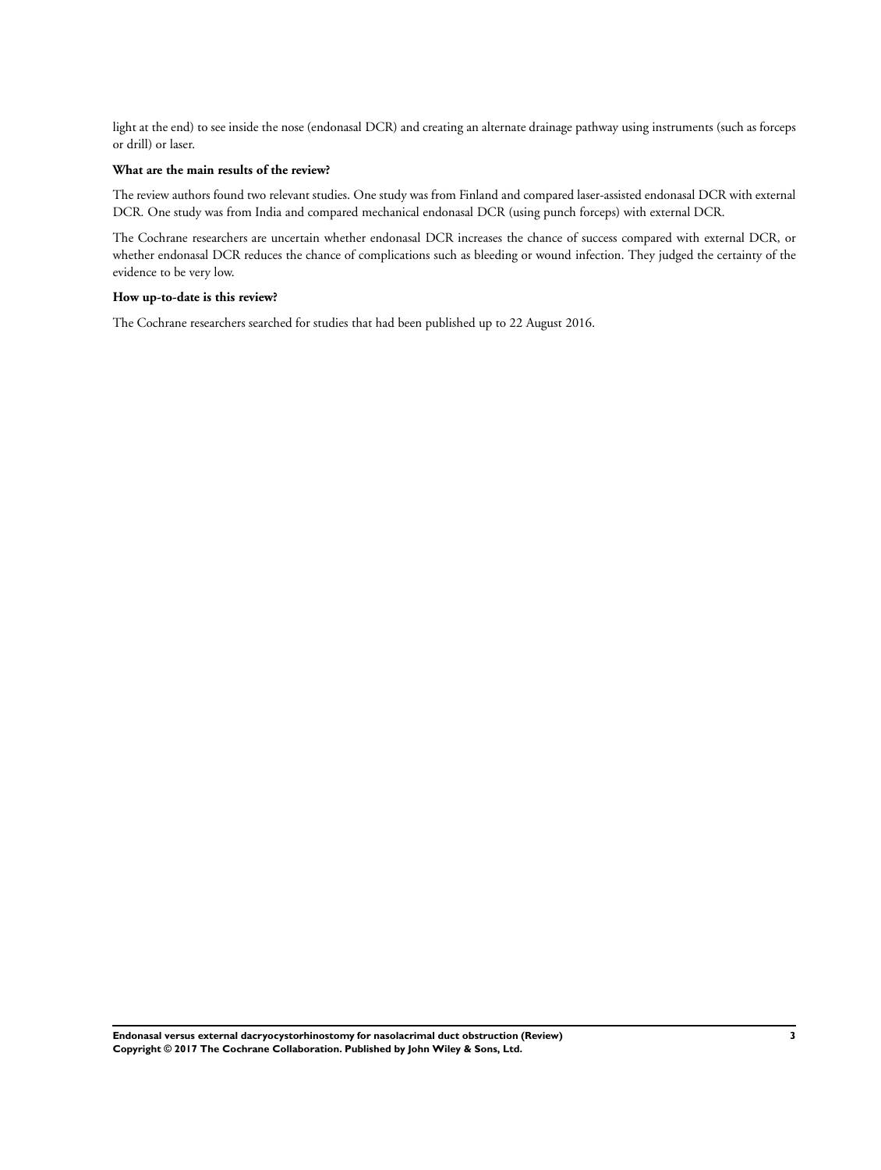light at the end) to see inside the nose (endonasal DCR) and creating an alternate drainage pathway using instruments (such as forceps or drill) or laser.

# **What are the main results of the review?**

The review authors found two relevant studies. One study was from Finland and compared laser-assisted endonasal DCR with external DCR. One study was from India and compared mechanical endonasal DCR (using punch forceps) with external DCR.

The Cochrane researchers are uncertain whether endonasal DCR increases the chance of success compared with external DCR, or whether endonasal DCR reduces the chance of complications such as bleeding or wound infection. They judged the certainty of the evidence to be very low.

# **How up-to-date is this review?**

The Cochrane researchers searched for studies that had been published up to 22 August 2016.

**Endonasal versus external dacryocystorhinostomy for nasolacrimal duct obstruction (Review) 3 Copyright © 2017 The Cochrane Collaboration. Published by John Wiley & Sons, Ltd.**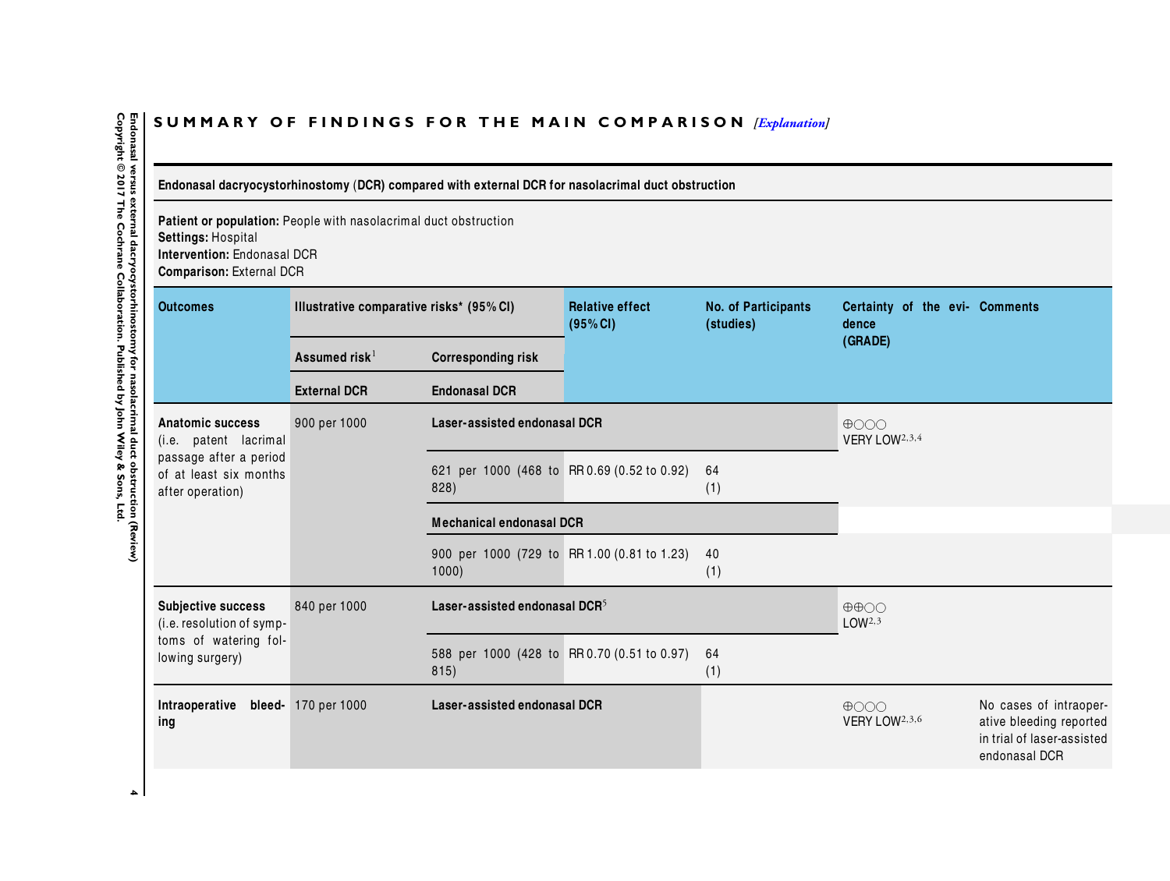# SUMMARY OF FINDINGS FOR THE MAIN COMPARISON *[\[Explanation\]](http://www.thecochranelibrary.com/view/0/SummaryFindings.html)*

Endonasal dacryocystorhinostomy (DCR) compared with external DCR for nasolacrimal duct obstruction

**Patient or population:** People with nasolacrimal duct obstruction**Settings:** Hospital **Intervention:** Endonasal DCR**Comparison:** External DCR

| 00iiiparisoii. LAtoriiai Dort                                                                      |                                          |                                                      |                                    |                                         |                                                         |                                                                                                  |  |
|----------------------------------------------------------------------------------------------------|------------------------------------------|------------------------------------------------------|------------------------------------|-----------------------------------------|---------------------------------------------------------|--------------------------------------------------------------------------------------------------|--|
| <b>Outcomes</b>                                                                                    | Illustrative comparative risks* (95% CI) |                                                      | <b>Relative effect</b><br>(95% CI) | <b>No. of Participants</b><br>(studies) | Certainty of the evi- Comments<br>dence                 |                                                                                                  |  |
|                                                                                                    | Assumed risk $1$                         | <b>Corresponding risk</b>                            |                                    |                                         | (GRADE)                                                 |                                                                                                  |  |
|                                                                                                    | <b>External DCR</b>                      | <b>Endonasal DCR</b>                                 |                                    |                                         |                                                         |                                                                                                  |  |
| Anatomic success<br>(i.e. patent lacrimal                                                          | 900 per 1000                             | Laser-assisted endonasal DCR                         |                                    |                                         | $\bigoplus$ OOO<br>VERY LOW <sup>2,3,4</sup>            |                                                                                                  |  |
| passage after a period<br>of at least six months<br>after operation)                               |                                          | 621 per 1000 (468 to RR 0.69 (0.52 to 0.92)<br>828)  |                                    | 64<br>(1)                               |                                                         |                                                                                                  |  |
|                                                                                                    |                                          | <b>Mechanical endonasal DCR</b>                      |                                    |                                         |                                                         |                                                                                                  |  |
|                                                                                                    |                                          | 900 per 1000 (729 to RR 1.00 (0.81 to 1.23)<br>1000) |                                    | 40<br>(1)                               |                                                         |                                                                                                  |  |
| <b>Subjective success</b><br>(i.e. resolution of symp-<br>toms of watering fol-<br>lowing surgery) | 840 per 1000                             | Laser-assisted endonasal DCR $5$                     |                                    |                                         | $\oplus \oplus \bigcirc \bigcirc$<br>LOW <sup>2,3</sup> |                                                                                                  |  |
|                                                                                                    |                                          | 588 per 1000 (428 to RR 0.70 (0.51 to 0.97)<br>815)  |                                    | 64<br>(1)                               |                                                         |                                                                                                  |  |
| Intraoperative bleed- 170 per 1000<br>ing                                                          |                                          | Laser-assisted endonasal DCR                         |                                    |                                         | $\bigoplus$ OOO<br>VERY LOW <sup>2,3,6</sup>            | No cases of intraoper-<br>ative bleeding reported<br>in trial of laser-assisted<br>endonasal DCR |  |
|                                                                                                    |                                          |                                                      |                                    |                                         |                                                         |                                                                                                  |  |

<span id="page-6-0"></span>Endonasal versus external dacryocystorhinostomy for nasolacrimal duct obstruction (Review)<br>Copyright © 2017 The Cochrane Collaboration. Published by John Wiley & Sons, Ltd. **Copyright © 2017 The Cochrane Collaboration. Published by John Wiley & Sons, Ltd.4 Endonasal versus external dacryocystorhinostomy for nasolacrimal duct obstruction (Review)**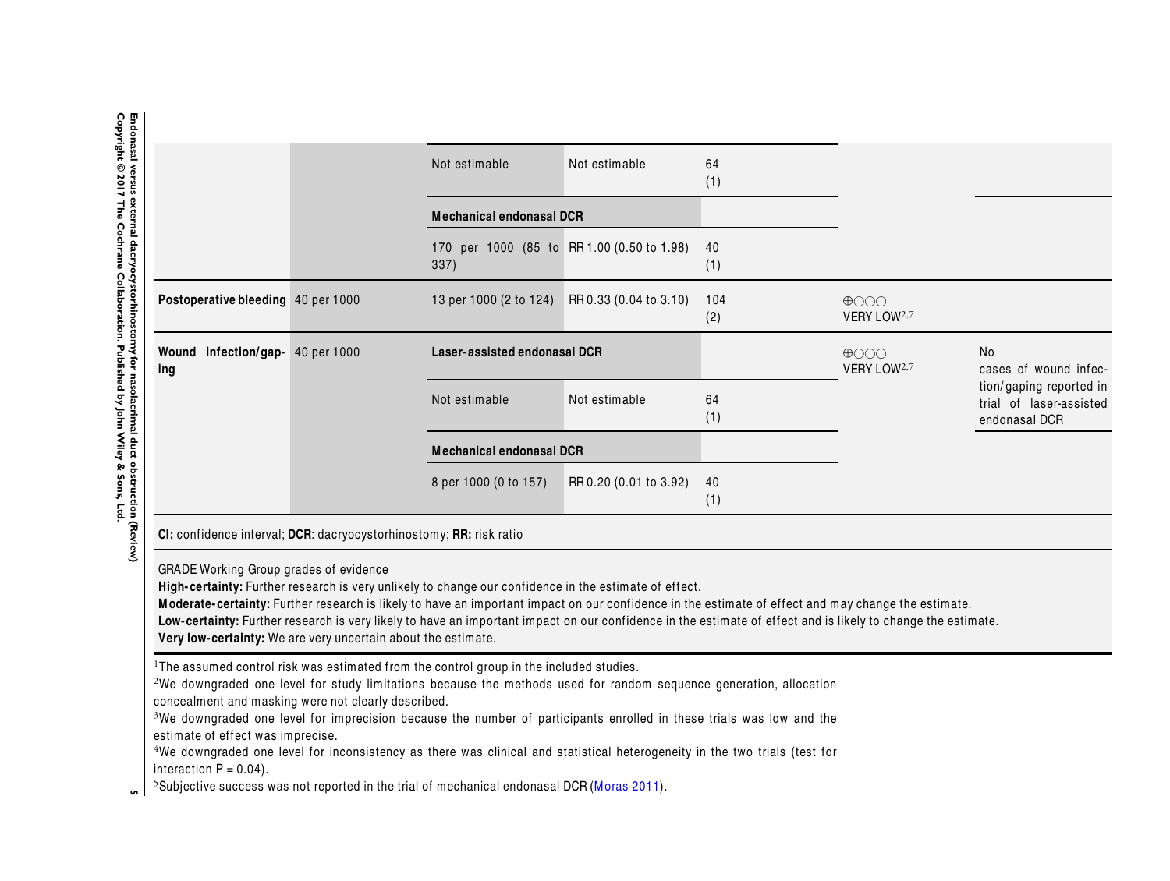|                                                                                                                      | Not estimable                                                                                                                                                                                                                                                                                                                                                                                                                                                                                                       | Not estimable                   | 64<br>(1)  |                                                              |                                                                     |
|----------------------------------------------------------------------------------------------------------------------|---------------------------------------------------------------------------------------------------------------------------------------------------------------------------------------------------------------------------------------------------------------------------------------------------------------------------------------------------------------------------------------------------------------------------------------------------------------------------------------------------------------------|---------------------------------|------------|--------------------------------------------------------------|---------------------------------------------------------------------|
|                                                                                                                      | <b>Mechanical endonasal DCR</b>                                                                                                                                                                                                                                                                                                                                                                                                                                                                                     |                                 |            |                                                              |                                                                     |
|                                                                                                                      | 170 per 1000 (85 to RR 1.00 (0.50 to 1.98)<br>337)                                                                                                                                                                                                                                                                                                                                                                                                                                                                  |                                 | 40<br>(1)  |                                                              |                                                                     |
| Postoperative bleeding 40 per 1000                                                                                   | 13 per 1000 (2 to 124)                                                                                                                                                                                                                                                                                                                                                                                                                                                                                              | RR 0.33 (0.04 to 3.10)          | 104<br>(2) | $\bigoplus$ $\bigcirc$ $\bigcirc$<br>VERY LOW <sup>2,7</sup> |                                                                     |
| Wound infection/gap- 40 per 1000<br>ing                                                                              | Laser-assisted endonasal DCR                                                                                                                                                                                                                                                                                                                                                                                                                                                                                        |                                 |            | $\bigoplus$<br>VERY LOW <sup>2,7</sup>                       | No<br>cases of wound infec-                                         |
|                                                                                                                      | Not estimable                                                                                                                                                                                                                                                                                                                                                                                                                                                                                                       | Not estimable                   | 64<br>(1)  |                                                              | tion/gaping reported in<br>trial of laser-assisted<br>endonasal DCR |
|                                                                                                                      |                                                                                                                                                                                                                                                                                                                                                                                                                                                                                                                     | <b>Mechanical endonasal DCR</b> |            |                                                              |                                                                     |
|                                                                                                                      | 8 per 1000 (0 to 157)                                                                                                                                                                                                                                                                                                                                                                                                                                                                                               | RR 0.20 (0.01 to 3.92)          | 40<br>(1)  |                                                              |                                                                     |
| CI: confidence interval; DCR: dacryocystorhinostomy; RR: risk ratio                                                  |                                                                                                                                                                                                                                                                                                                                                                                                                                                                                                                     |                                 |            |                                                              |                                                                     |
| GRADE Working Group grades of evidence<br>Very low-certainty: We are very uncertain about the estimate.              | High-certainty: Further research is very unlikely to change our confidence in the estimate of effect.<br>Moderate-certainty: Further research is likely to have an important impact on our confidence in the estimate of effect and may change the estimate.<br>Low-certainty: Further research is very likely to have an important impact on our confidence in the estimate of effect and is likely to change the estimate.                                                                                        |                                 |            |                                                              |                                                                     |
| concealment and masking were not clearly described.<br>estimate of effect was imprecise.<br>interaction $P = 0.04$ ) | <sup>1</sup> The assumed control risk was estimated from the control group in the included studies.<br><sup>2</sup> We downgraded one level for study limitations because the methods used for random sequence generation, allocation<br><sup>3</sup> We downgraded one level for imprecision because the number of participants enrolled in these trials was low and the<br><sup>4</sup> We downgraded one level for inconsistency as there was clinical and statistical heterogeneity in the two trials (test for |                                 |            |                                                              |                                                                     |

interaction P <sup>=</sup> 0.04). 5 **<sup>5</sup>**Subjective success was not reported in the trial of mechanical endonasal DCR ([Moras](#page-18-0) [2011](#page-18-0)).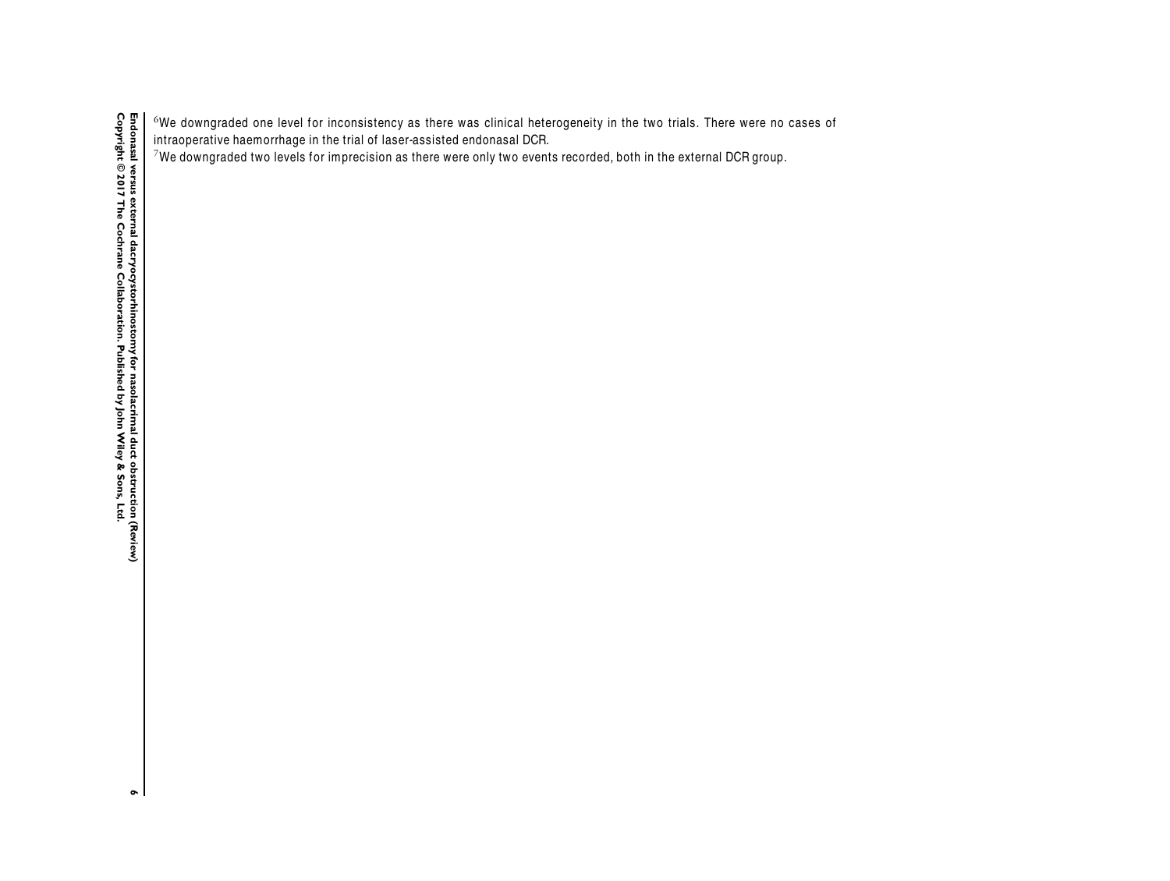$^6$ We downgraded one level for inconsistency as there was clinical heterogeneity in the two trials. There were no cases of intraoperative haemorrhage in the trial of laser-assisted endonasal DCR.

<sup>7</sup>We downgraded two levels for imprecision as there were only two events recorded, both in the external DCR group.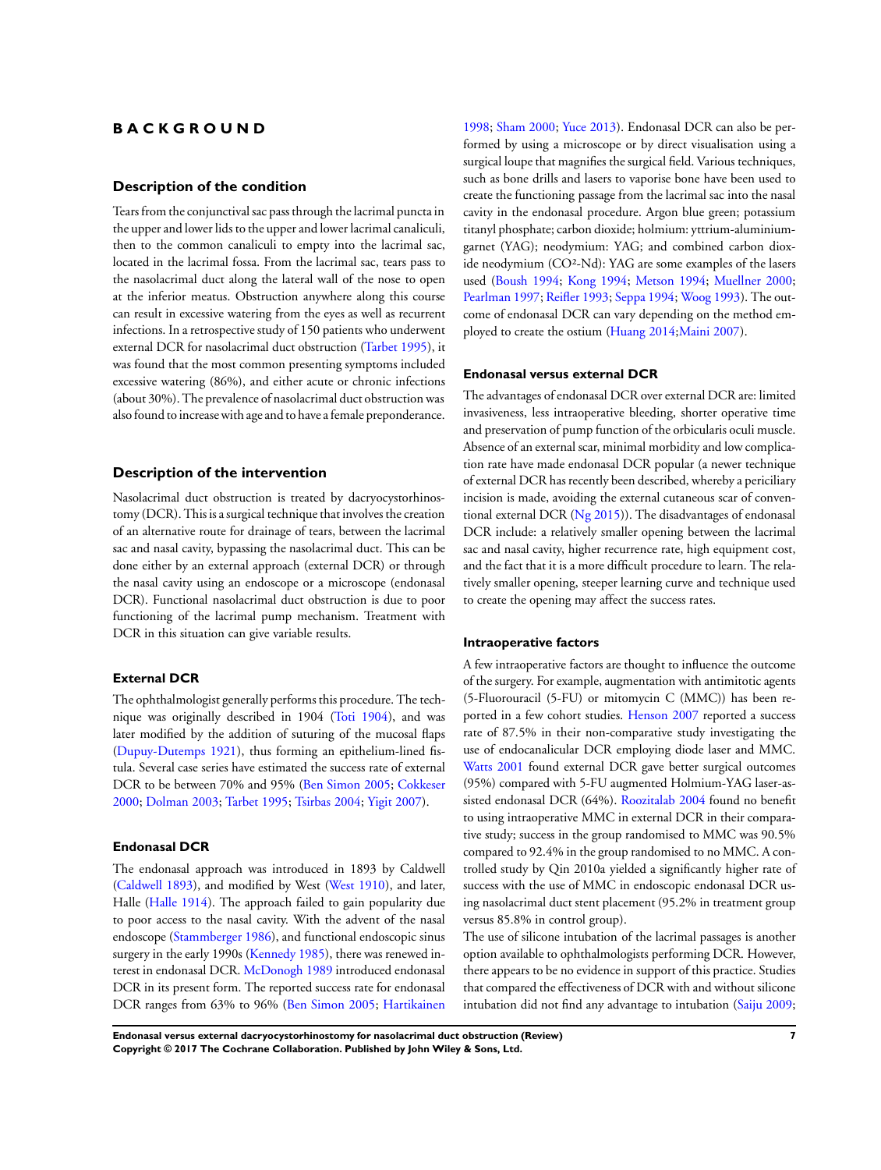# <span id="page-9-0"></span>**B A C K G R O U N D**

#### **Description of the condition**

Tears from the conjunctival sac pass through the lacrimal puncta in the upper and lower lids to the upper and lower lacrimal canaliculi, then to the common canaliculi to empty into the lacrimal sac, located in the lacrimal fossa. From the lacrimal sac, tears pass to the nasolacrimal duct along the lateral wall of the nose to open at the inferior meatus. Obstruction anywhere along this course can result in excessive watering from the eyes as well as recurrent infections. In a retrospective study of 150 patients who underwent external DCR for nasolacrimal duct obstruction [\(Tarbet 1995\)](#page-18-0), it was found that the most common presenting symptoms included excessive watering (86%), and either acute or chronic infections (about 30%). The prevalence of nasolacrimal duct obstruction was also found to increase with age and to have a female preponderance.

#### **Description of the intervention**

Nasolacrimal duct obstruction is treated by dacryocystorhinostomy (DCR). This is a surgical technique that involves the creation of an alternative route for drainage of tears, between the lacrimal sac and nasal cavity, bypassing the nasolacrimal duct. This can be done either by an external approach (external DCR) or through the nasal cavity using an endoscope or a microscope (endonasal DCR). Functional nasolacrimal duct obstruction is due to poor functioning of the lacrimal pump mechanism. Treatment with DCR in this situation can give variable results.

#### **External DCR**

The ophthalmologist generally performs this procedure. The technique was originally described in 1904 [\(Toti 1904](#page-18-0)), and was later modified by the addition of suturing of the mucosal flaps [\(Dupuy-Dutemps 1921](#page-18-0)), thus forming an epithelium-lined fistula. Several case series have estimated the success rate of external DCR to be between 70% and 95% ([Ben Simon 2005](#page-18-0); [Cokkeser](#page-18-0) [2000](#page-18-0); [Dolman 2003;](#page-18-0) [Tarbet 1995](#page-18-0); [Tsirbas 2004](#page-18-0); [Yigit 2007](#page-18-0)).

#### **Endonasal DCR**

The endonasal approach was introduced in 1893 by Caldwell [\(Caldwell 1893\)](#page-18-0), and modified by West [\(West 1910\)](#page-18-0), and later, Halle ([Halle 1914\)](#page-18-0). The approach failed to gain popularity due to poor access to the nasal cavity. With the advent of the nasal endoscope [\(Stammberger 1986\)](#page-18-0), and functional endoscopic sinus surgery in the early 1990s ([Kennedy 1985\)](#page-18-0), there was renewed interest in endonasal DCR. [McDonogh 1989](#page-18-0) introduced endonasal DCR in its present form. The reported success rate for endonasal DCR ranges from 63% to 96% ([Ben Simon 2005;](#page-18-0) [Hartikainen](#page-18-0)

[1998](#page-18-0); [Sham 2000;](#page-18-0) [Yuce 2013\)](#page-18-0). Endonasal DCR can also be performed by using a microscope or by direct visualisation using a surgical loupe that magnifies the surgical field. Various techniques, such as bone drills and lasers to vaporise bone have been used to create the functioning passage from the lacrimal sac into the nasal cavity in the endonasal procedure. Argon blue green; potassium titanyl phosphate; carbon dioxide; holmium: yttrium-aluminiumgarnet (YAG); neodymium: YAG; and combined carbon dioxide neodymium (CO²-Nd): YAG are some examples of the lasers used [\(Boush 1994](#page-18-0); [Kong 1994](#page-18-0); [Metson 1994](#page-18-0); [Muellner 2000;](#page-18-0) [Pearlman 1997](#page-18-0); [Reifler 1993;](#page-18-0) [Seppa 1994](#page-18-0); [Woog 1993\)](#page-18-0). The outcome of endonasal DCR can vary depending on the method employed to create the ostium ([Huang 2014;Maini 2007](#page-18-0)).

#### **Endonasal versus external DCR**

The advantages of endonasal DCR over external DCR are: limited invasiveness, less intraoperative bleeding, shorter operative time and preservation of pump function of the orbicularis oculi muscle. Absence of an external scar, minimal morbidity and low complication rate have made endonasal DCR popular (a newer technique of external DCR has recently been described, whereby a periciliary incision is made, avoiding the external cutaneous scar of conventional external DCR ([Ng 2015\)](#page-18-0)). The disadvantages of endonasal DCR include: a relatively smaller opening between the lacrimal sac and nasal cavity, higher recurrence rate, high equipment cost, and the fact that it is a more difficult procedure to learn. The relatively smaller opening, steeper learning curve and technique used to create the opening may affect the success rates.

#### **Intraoperative factors**

A few intraoperative factors are thought to influence the outcome of the surgery. For example, augmentation with antimitotic agents (5-Fluorouracil (5-FU) or mitomycin C (MMC)) has been reported in a few cohort studies. [Henson 2007](#page-18-0) reported a success rate of 87.5% in their non-comparative study investigating the use of endocanalicular DCR employing diode laser and MMC. [Watts 2001](#page-18-0) found external DCR gave better surgical outcomes (95%) compared with 5-FU augmented Holmium-YAG laser-assisted endonasal DCR (64%). [Roozitalab 2004](#page-18-0) found no benefit to using intraoperative MMC in external DCR in their comparative study; success in the group randomised to MMC was 90.5% compared to 92.4% in the group randomised to no MMC. A controlled study by Qin 2010a yielded a significantly higher rate of success with the use of MMC in endoscopic endonasal DCR using nasolacrimal duct stent placement (95.2% in treatment group versus 85.8% in control group).

The use of silicone intubation of the lacrimal passages is another option available to ophthalmologists performing DCR. However, there appears to be no evidence in support of this practice. Studies that compared the effectiveness of DCR with and without silicone intubation did not find any advantage to intubation ([Saiju 2009;](#page-18-0)

**Endonasal versus external dacryocystorhinostomy for nasolacrimal duct obstruction (Review) 7 Copyright © 2017 The Cochrane Collaboration. Published by John Wiley & Sons, Ltd.**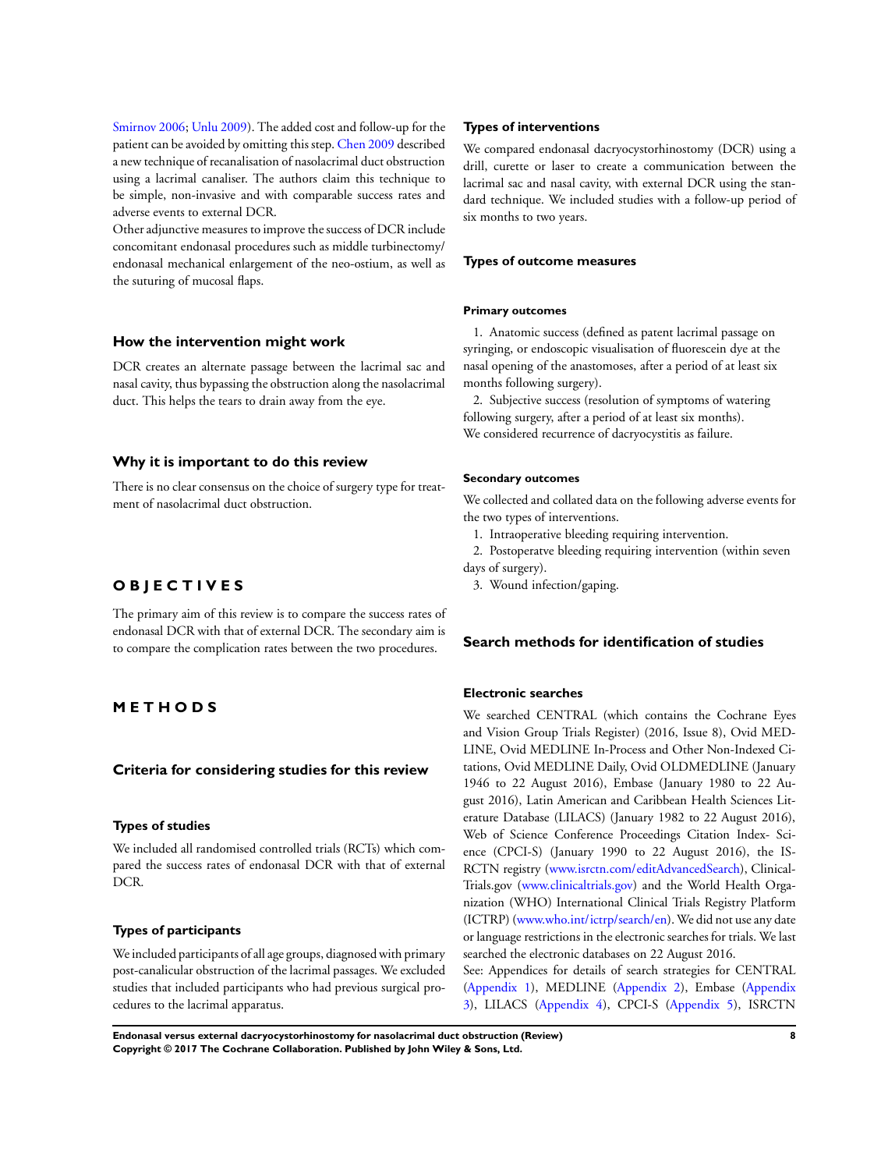[Smirnov 2006](#page-18-0); [Unlu 2009](#page-18-0)). The added cost and follow-up for the patient can be avoided by omitting this step. [Chen 2009](#page-18-0) described a new technique of recanalisation of nasolacrimal duct obstruction using a lacrimal canaliser. The authors claim this technique to be simple, non-invasive and with comparable success rates and adverse events to external DCR.

Other adjunctive measures to improve the success of DCR include concomitant endonasal procedures such as middle turbinectomy/ endonasal mechanical enlargement of the neo-ostium, as well as the suturing of mucosal flaps.

#### **How the intervention might work**

DCR creates an alternate passage between the lacrimal sac and nasal cavity, thus bypassing the obstruction along the nasolacrimal duct. This helps the tears to drain away from the eye.

#### **Why it is important to do this review**

There is no clear consensus on the choice of surgery type for treatment of nasolacrimal duct obstruction.

# **O B J E C T I V E S**

The primary aim of this review is to compare the success rates of endonasal DCR with that of external DCR. The secondary aim is to compare the complication rates between the two procedures.

# **M E T H O D S**

### **Criteria for considering studies for this review**

#### **Types of studies**

We included all randomised controlled trials (RCTs) which compared the success rates of endonasal DCR with that of external DCR.

#### **Types of participants**

We included participants of all age groups, diagnosed with primary post-canalicular obstruction of the lacrimal passages. We excluded studies that included participants who had previous surgical procedures to the lacrimal apparatus.

#### **Types of interventions**

We compared endonasal dacryocystorhinostomy (DCR) using a drill, curette or laser to create a communication between the lacrimal sac and nasal cavity, with external DCR using the standard technique. We included studies with a follow-up period of six months to two years.

#### **Types of outcome measures**

#### **Primary outcomes**

1. Anatomic success (defined as patent lacrimal passage on syringing, or endoscopic visualisation of fluorescein dye at the nasal opening of the anastomoses, after a period of at least six months following surgery).

2. Subjective success (resolution of symptoms of watering following surgery, after a period of at least six months). We considered recurrence of dacryocystitis as failure.

#### **Secondary outcomes**

We collected and collated data on the following adverse events for the two types of interventions.

1. Intraoperative bleeding requiring intervention.

2. Postoperatve bleeding requiring intervention (within seven days of surgery).

3. Wound infection/gaping.

# **Search methods for identification of studies**

#### **Electronic searches**

We searched CENTRAL (which contains the Cochrane Eyes and Vision Group Trials Register) (2016, Issue 8), Ovid MED-LINE, Ovid MEDLINE In-Process and Other Non-Indexed Citations, Ovid MEDLINE Daily, Ovid OLDMEDLINE (January 1946 to 22 August 2016), Embase (January 1980 to 22 August 2016), Latin American and Caribbean Health Sciences Literature Database (LILACS) (January 1982 to 22 August 2016), Web of Science Conference Proceedings Citation Index- Science (CPCI-S) (January 1990 to 22 August 2016), the IS-RCTN registry ([www.isrctn.com/editAdvancedSearch](http://www.isrctn.com/editAdvancedSearch)), Clinical-Trials.gov ([www.clinicaltrials.gov](http://www.clinicaltrials.gov/)) and the World Health Organization (WHO) International Clinical Trials Registry Platform (ICTRP) ([www.who.int/ictrp/search/en](http://www.who.int/ictrp/search/en)). We did not use any date or language restrictions in the electronic searches for trials. We last searched the electronic databases on 22 August 2016.

See: Appendices for details of search strategies for CENTRAL [\(Appendix 1](#page-29-0)), MEDLINE [\(Appendix 2](#page-30-0)), Embase [\(Appendix](#page-30-0) [3\)](#page-30-0), LILACS ([Appendix 4\)](#page-31-0), CPCI-S [\(Appendix 5](#page-31-0)), ISRCTN

**Endonasal versus external dacryocystorhinostomy for nasolacrimal duct obstruction (Review) 8 Copyright © 2017 The Cochrane Collaboration. Published by John Wiley & Sons, Ltd.**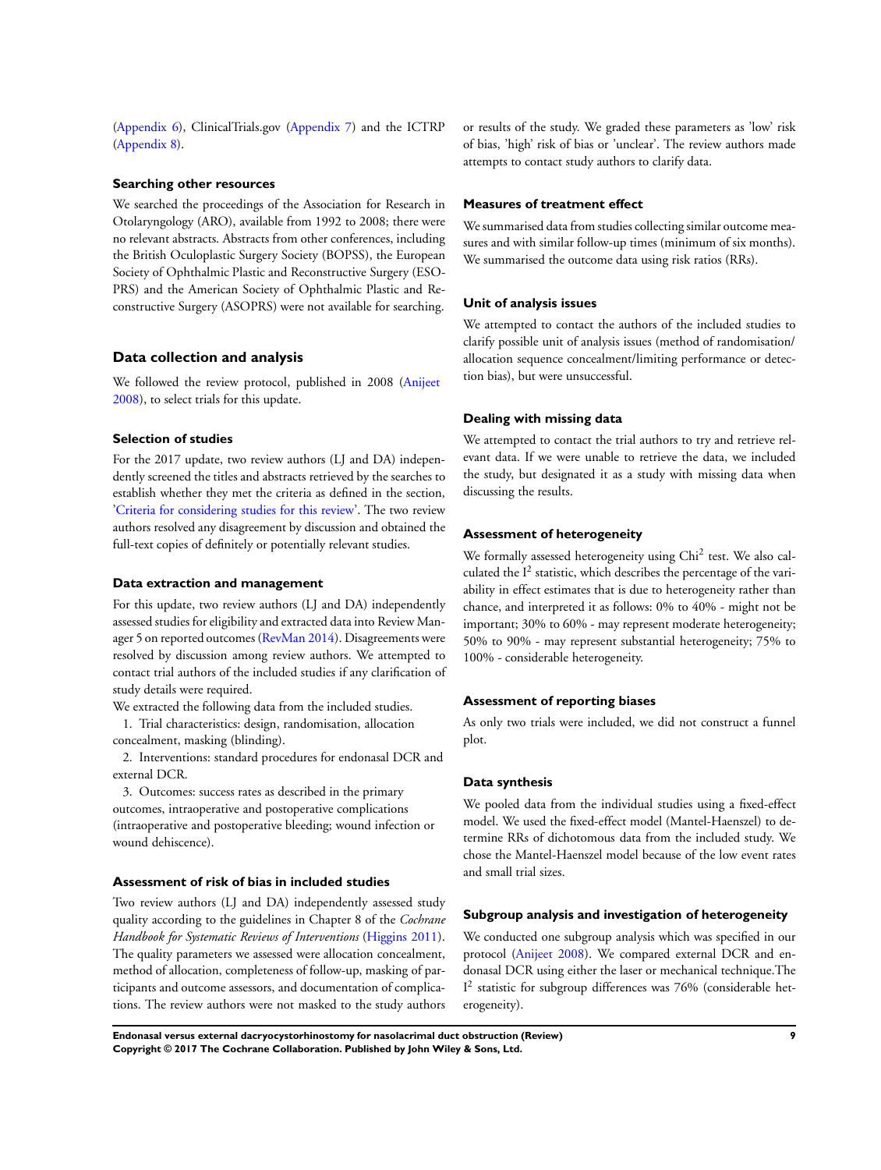[\(Appendix 6\)](#page-31-0), ClinicalTrials.gov [\(Appendix 7\)](#page-31-0) and the ICTRP [\(Appendix 8\)](#page-32-0).

#### **Searching other resources**

We searched the proceedings of the Association for Research in Otolaryngology (ARO), available from 1992 to 2008; there were no relevant abstracts. Abstracts from other conferences, including the British Oculoplastic Surgery Society (BOPSS), the European Society of Ophthalmic Plastic and Reconstructive Surgery (ESO-PRS) and the American Society of Ophthalmic Plastic and Reconstructive Surgery (ASOPRS) were not available for searching.

#### **Data collection and analysis**

We followed the review protocol, published in 2008 ([Anijeet](#page-18-0) [2008](#page-18-0)), to select trials for this update.

#### **Selection of studies**

For the 2017 update, two review authors (LJ and DA) independently screened the titles and abstracts retrieved by the searches to establish whether they met the criteria as defined in the section, ['Criteria for considering studies for this review](#page-9-0)'. The two review authors resolved any disagreement by discussion and obtained the full-text copies of definitely or potentially relevant studies.

#### **Data extraction and management**

For this update, two review authors (LJ and DA) independently assessed studies for eligibility and extracted data into Review Manager 5 on reported outcomes [\(RevMan 2014](#page-18-0)). Disagreements were resolved by discussion among review authors. We attempted to contact trial authors of the included studies if any clarification of study details were required.

We extracted the following data from the included studies. 1. Trial characteristics: design, randomisation, allocation

concealment, masking (blinding).

2. Interventions: standard procedures for endonasal DCR and external DCR.

3. Outcomes: success rates as described in the primary outcomes, intraoperative and postoperative complications (intraoperative and postoperative bleeding; wound infection or wound dehiscence).

#### **Assessment of risk of bias in included studies**

Two review authors (LJ and DA) independently assessed study quality according to the guidelines in Chapter 8 of the *Cochrane Handbook for Systematic Reviews of Interventions* [\(Higgins 2011](#page-18-0)). The quality parameters we assessed were allocation concealment, method of allocation, completeness of follow-up, masking of participants and outcome assessors, and documentation of complications. The review authors were not masked to the study authors

or results of the study. We graded these parameters as 'low' risk of bias, 'high' risk of bias or 'unclear'. The review authors made attempts to contact study authors to clarify data.

#### **Measures of treatment effect**

We summarised data from studies collecting similar outcome measures and with similar follow-up times (minimum of six months). We summarised the outcome data using risk ratios (RRs).

#### **Unit of analysis issues**

We attempted to contact the authors of the included studies to clarify possible unit of analysis issues (method of randomisation/ allocation sequence concealment/limiting performance or detection bias), but were unsuccessful.

#### **Dealing with missing data**

We attempted to contact the trial authors to try and retrieve relevant data. If we were unable to retrieve the data, we included the study, but designated it as a study with missing data when discussing the results.

#### **Assessment of heterogeneity**

We formally assessed heterogeneity using Chi<sup>2</sup> test. We also calculated the  $I^2$  statistic, which describes the percentage of the variability in effect estimates that is due to heterogeneity rather than chance, and interpreted it as follows: 0% to 40% - might not be important; 30% to 60% - may represent moderate heterogeneity; 50% to 90% - may represent substantial heterogeneity; 75% to 100% - considerable heterogeneity.

#### **Assessment of reporting biases**

As only two trials were included, we did not construct a funnel plot.

#### **Data synthesis**

We pooled data from the individual studies using a fixed-effect model. We used the fixed-effect model (Mantel-Haenszel) to determine RRs of dichotomous data from the included study. We chose the Mantel-Haenszel model because of the low event rates and small trial sizes.

#### **Subgroup analysis and investigation of heterogeneity**

We conducted one subgroup analysis which was specified in our protocol ([Anijeet 2008](#page-18-0)). We compared external DCR and endonasal DCR using either the laser or mechanical technique.The I 2 statistic for subgroup differences was 76% (considerable heterogeneity).

**Endonasal versus external dacryocystorhinostomy for nasolacrimal duct obstruction (Review) 9 Copyright © 2017 The Cochrane Collaboration. Published by John Wiley & Sons, Ltd.**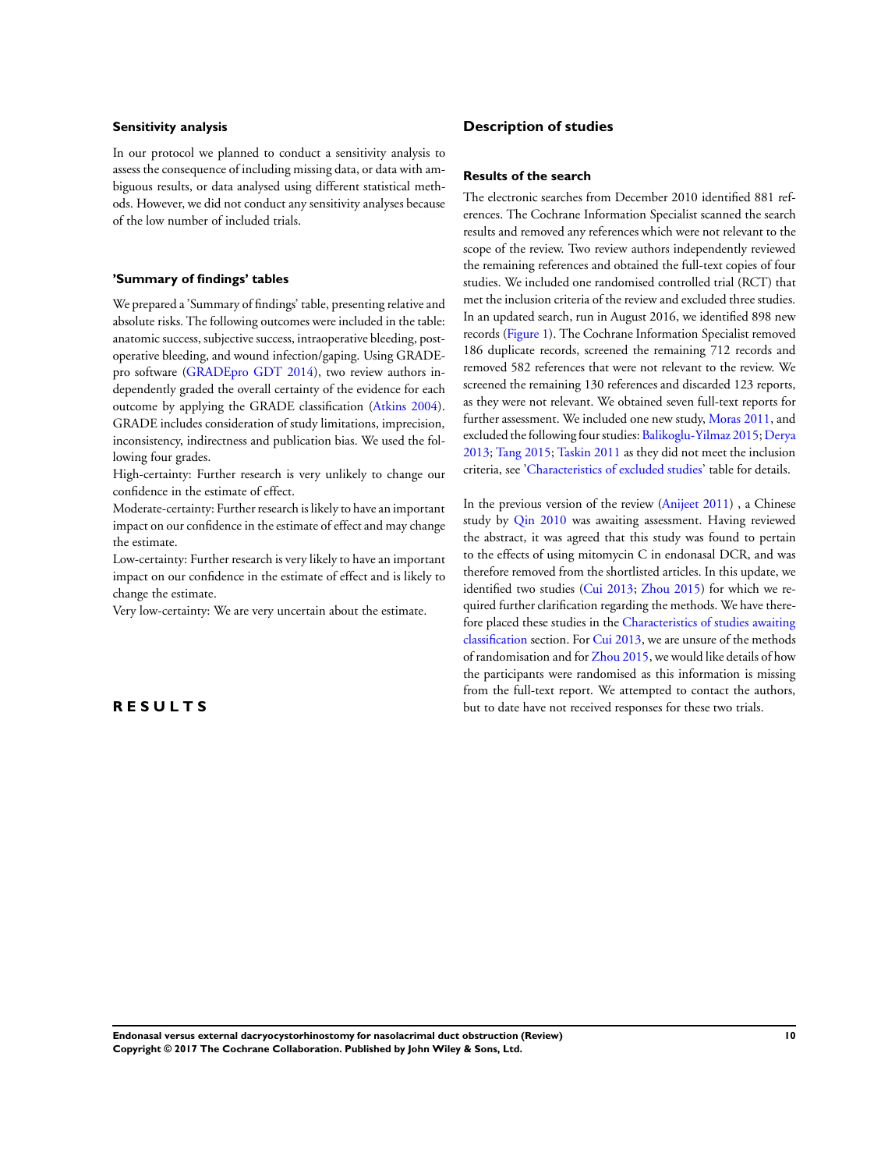#### **Sensitivity analysis**

In our protocol we planned to conduct a sensitivity analysis to assess the consequence of including missing data, or data with ambiguous results, or data analysed using different statistical methods. However, we did not conduct any sensitivity analyses because of the low number of included trials.

#### **'Summary of findings' tables**

We prepared a 'Summary of findings' table, presenting relative and absolute risks. The following outcomes were included in the table: anatomic success, subjective success, intraoperative bleeding, postoperative bleeding, and wound infection/gaping. Using GRADEpro software [\(GRADEpro GDT 2014](#page-18-0)), two review authors independently graded the overall certainty of the evidence for each outcome by applying the GRADE classification [\(Atkins 2004](#page-18-0)). GRADE includes consideration of study limitations, imprecision, inconsistency, indirectness and publication bias. We used the following four grades.

High-certainty: Further research is very unlikely to change our confidence in the estimate of effect.

Moderate-certainty: Further research is likely to have an important impact on our confidence in the estimate of effect and may change the estimate.

Low-certainty: Further research is very likely to have an important impact on our confidence in the estimate of effect and is likely to change the estimate.

Very low-certainty: We are very uncertain about the estimate.

#### **R E S U L T S**

### **Description of studies**

#### **Results of the search**

The electronic searches from December 2010 identified 881 references. The Cochrane Information Specialist scanned the search results and removed any references which were not relevant to the scope of the review. Two review authors independently reviewed the remaining references and obtained the full-text copies of four studies. We included one randomised controlled trial (RCT) that met the inclusion criteria of the review and excluded three studies. In an updated search, run in August 2016, we identified 898 new records ([Figure 1](#page-13-0)). The Cochrane Information Specialist removed 186 duplicate records, screened the remaining 712 records and removed 582 references that were not relevant to the review. We screened the remaining 130 references and discarded 123 reports, as they were not relevant. We obtained seven full-text reports for further assessment. We included one new study, [Moras 2011](#page-18-0), and excluded the following four studies: [Balikoglu-Yilmaz 2015](#page-18-0); [Derya](#page-18-0) [2013](#page-18-0); [Tang 2015;](#page-18-0) [Taskin 2011](#page-18-0) as they did not meet the inclusion criteria, see ['Characteristics of excluded studies'](#page-23-0) table for details.

In the previous version of the review ([Anijeet 2011](#page-18-0)) , a Chinese study by [Qin 2010](#page-18-0) was awaiting assessment. Having reviewed the abstract, it was agreed that this study was found to pertain to the effects of using mitomycin C in endonasal DCR, and was therefore removed from the shortlisted articles. In this update, we identified two studies ([Cui 2013;](#page-18-0) [Zhou 2015\)](#page-18-0) for which we required further clarification regarding the methods. We have therefore placed these studies in the [Characteristics of studies awaiting](#page-24-0) [classification](#page-24-0) section. For [Cui 2013,](#page-18-0) we are unsure of the methods of randomisation and for [Zhou 2015,](#page-18-0) we would like details of how the participants were randomised as this information is missing from the full-text report. We attempted to contact the authors, but to date have not received responses for these two trials.

**Endonasal versus external dacryocystorhinostomy for nasolacrimal duct obstruction (Review) 10 Copyright © 2017 The Cochrane Collaboration. Published by John Wiley & Sons, Ltd.**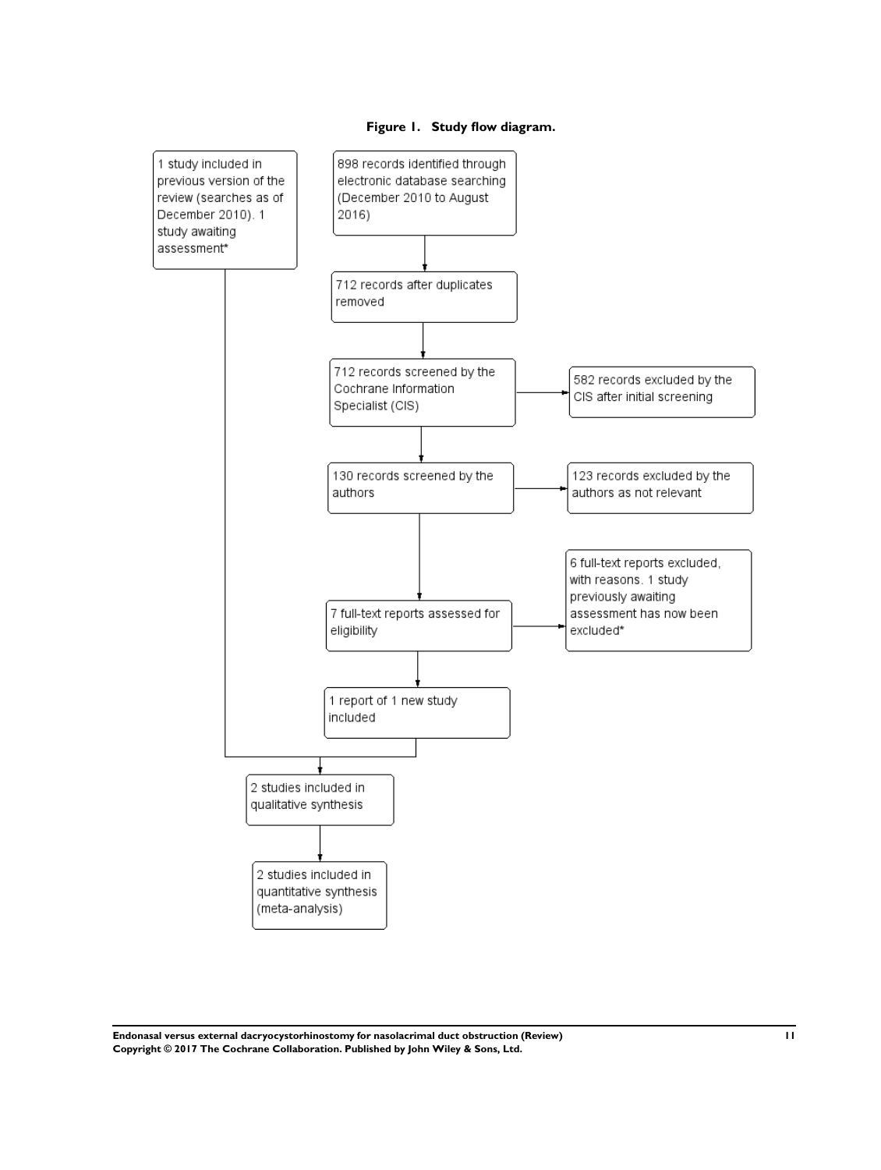<span id="page-13-0"></span>

**Figure 1. Study flow diagram.**

**Endonasal versus external dacryocystorhinostomy for nasolacrimal duct obstruction (Review) 11 Copyright © 2017 The Cochrane Collaboration. Published by John Wiley & Sons, Ltd.**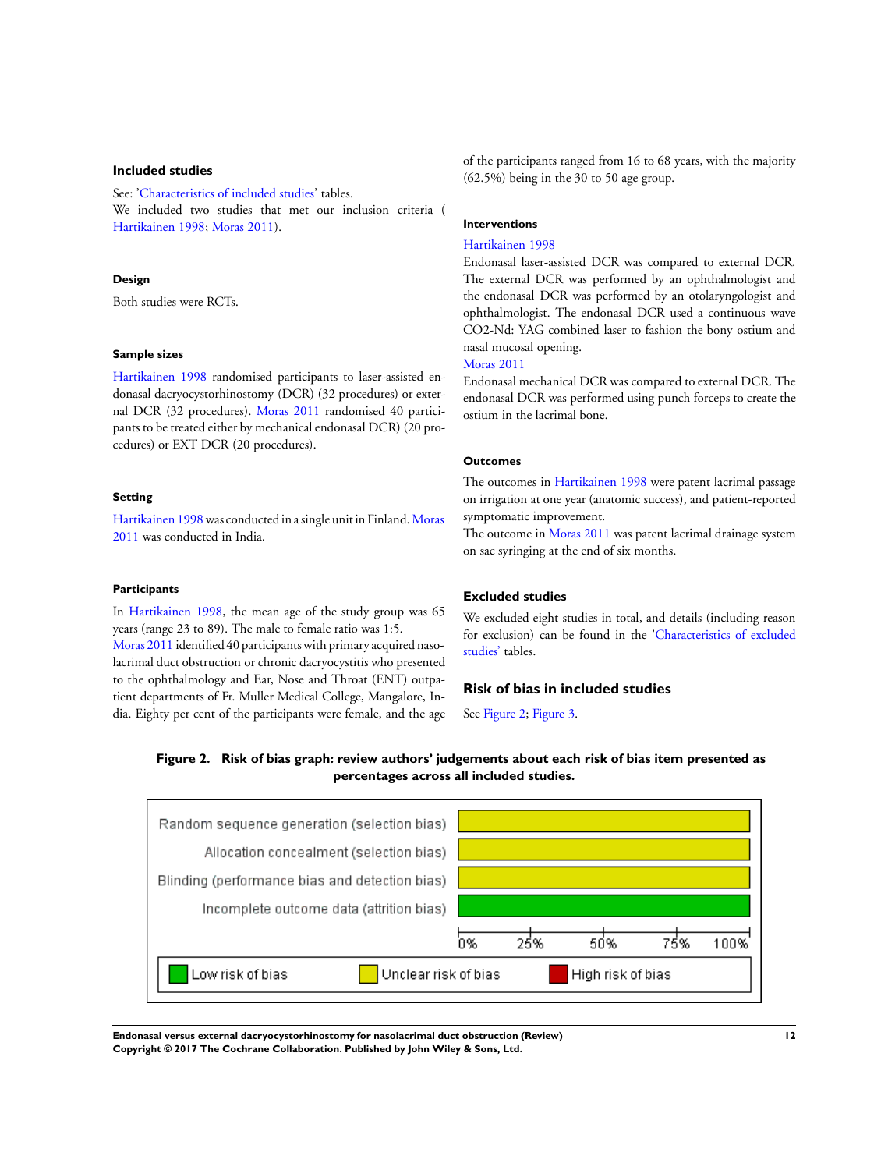#### **Included studies**

See: ['Characteristics of included studies'](#page-22-0) tables. We included two studies that met our inclusion criteria ( [Hartikainen 1998;](#page-18-0) [Moras 2011](#page-18-0)).

#### **Design**

Both studies were RCTs.

#### **Sample sizes**

[Hartikainen 1998](#page-18-0) randomised participants to laser-assisted endonasal dacryocystorhinostomy (DCR) (32 procedures) or external DCR (32 procedures). [Moras 2011](#page-18-0) randomised 40 participants to be treated either by mechanical endonasal DCR) (20 procedures) or EXT DCR (20 procedures).

#### **Setting**

[Hartikainen 1998](#page-18-0) was conducted in a single unit in Finland.[Moras](#page-18-0) [2011](#page-18-0) was conducted in India.

#### **Participants**

In [Hartikainen 1998](#page-18-0), the mean age of the study group was 65 years (range 23 to 89). The male to female ratio was 1:5. [Moras 2011](#page-18-0) identified 40 participants with primary acquired nasolacrimal duct obstruction or chronic dacryocystitis who presented to the ophthalmology and Ear, Nose and Throat (ENT) outpatient departments of Fr. Muller Medical College, Mangalore, India. Eighty per cent of the participants were female, and the age of the participants ranged from 16 to 68 years, with the majority (62.5%) being in the 30 to 50 age group.

#### **Interventions**

#### [Hartikainen 1998](#page-18-0)

Endonasal laser-assisted DCR was compared to external DCR. The external DCR was performed by an ophthalmologist and the endonasal DCR was performed by an otolaryngologist and ophthalmologist. The endonasal DCR used a continuous wave CO2-Nd: YAG combined laser to fashion the bony ostium and nasal mucosal opening.

#### [Moras 2011](#page-18-0)

Endonasal mechanical DCR was compared to external DCR. The endonasal DCR was performed using punch forceps to create the ostium in the lacrimal bone.

#### **Outcomes**

The outcomes in [Hartikainen 1998](#page-18-0) were patent lacrimal passage on irrigation at one year (anatomic success), and patient-reported symptomatic improvement.

The outcome in [Moras 2011](#page-18-0) was patent lacrimal drainage system on sac syringing at the end of six months.

# **Excluded studies**

We excluded eight studies in total, and details (including reason for exclusion) can be found in the'[Characteristics of excluded](#page-23-0) [studies'](#page-23-0) tables.

# **Risk of bias in included studies**

See Figure 2; [Figure 3.](#page-15-0)

**Figure 2. Risk of bias graph: review authors' judgements about each risk of bias item presented as percentages across all included studies.**



**Endonasal versus external dacryocystorhinostomy for nasolacrimal duct obstruction (Review) 12 Copyright © 2017 The Cochrane Collaboration. Published by John Wiley & Sons, Ltd.**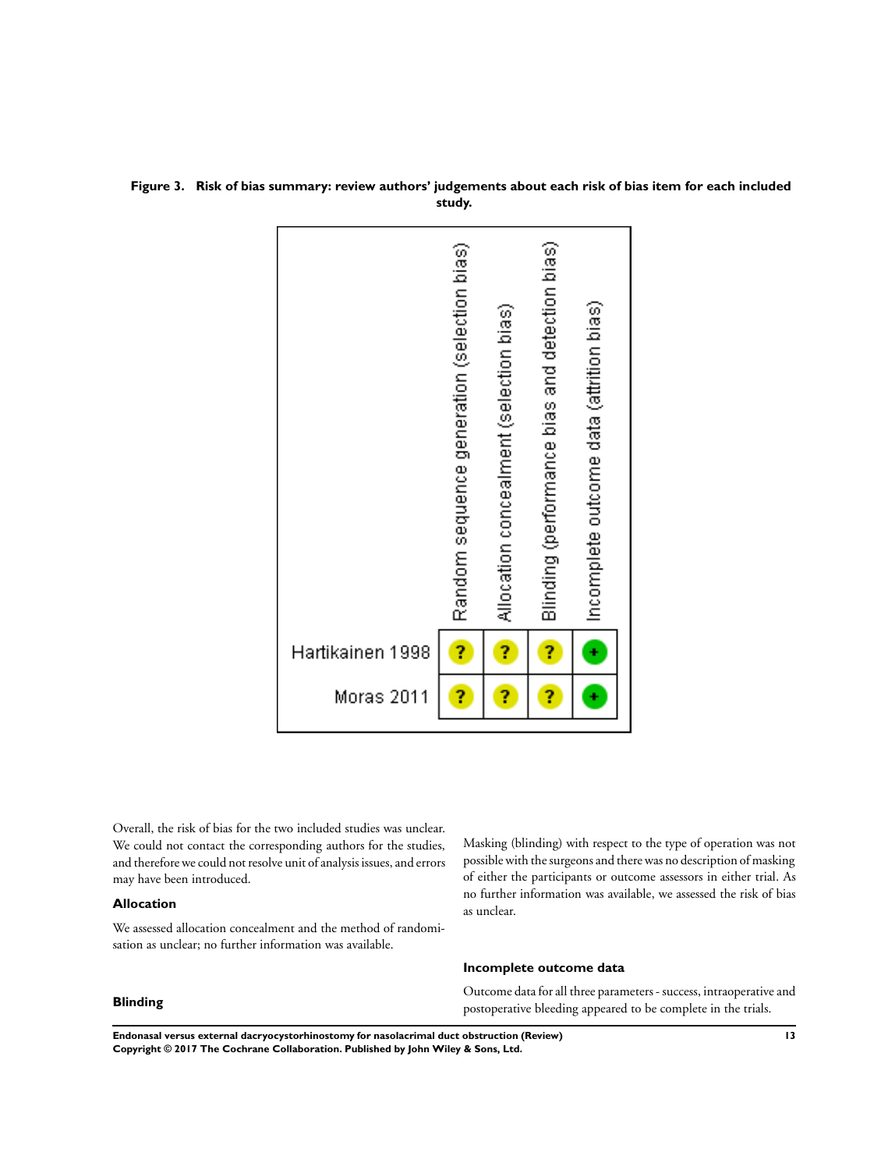

# <span id="page-15-0"></span>**Figure 3. Risk of bias summary: review authors' judgements about each risk of bias item for each included study.**

Overall, the risk of bias for the two included studies was unclear. We could not contact the corresponding authors for the studies, and therefore we could not resolve unit of analysis issues, and errors may have been introduced.

### **Allocation**

We assessed allocation concealment and the method of randomisation as unclear; no further information was available.

# Masking (blinding) with respect to the type of operation was not possible with the surgeons and there was no description of masking of either the participants or outcome assessors in either trial. As no further information was available, we assessed the risk of bias as unclear.

#### **Incomplete outcome data**

Outcome data for all three parameters - success, intraoperative and postoperative bleeding appeared to be complete in the trials.

# **Blinding**

**Endonasal versus external dacryocystorhinostomy for nasolacrimal duct obstruction (Review) 13 Copyright © 2017 The Cochrane Collaboration. Published by John Wiley & Sons, Ltd.**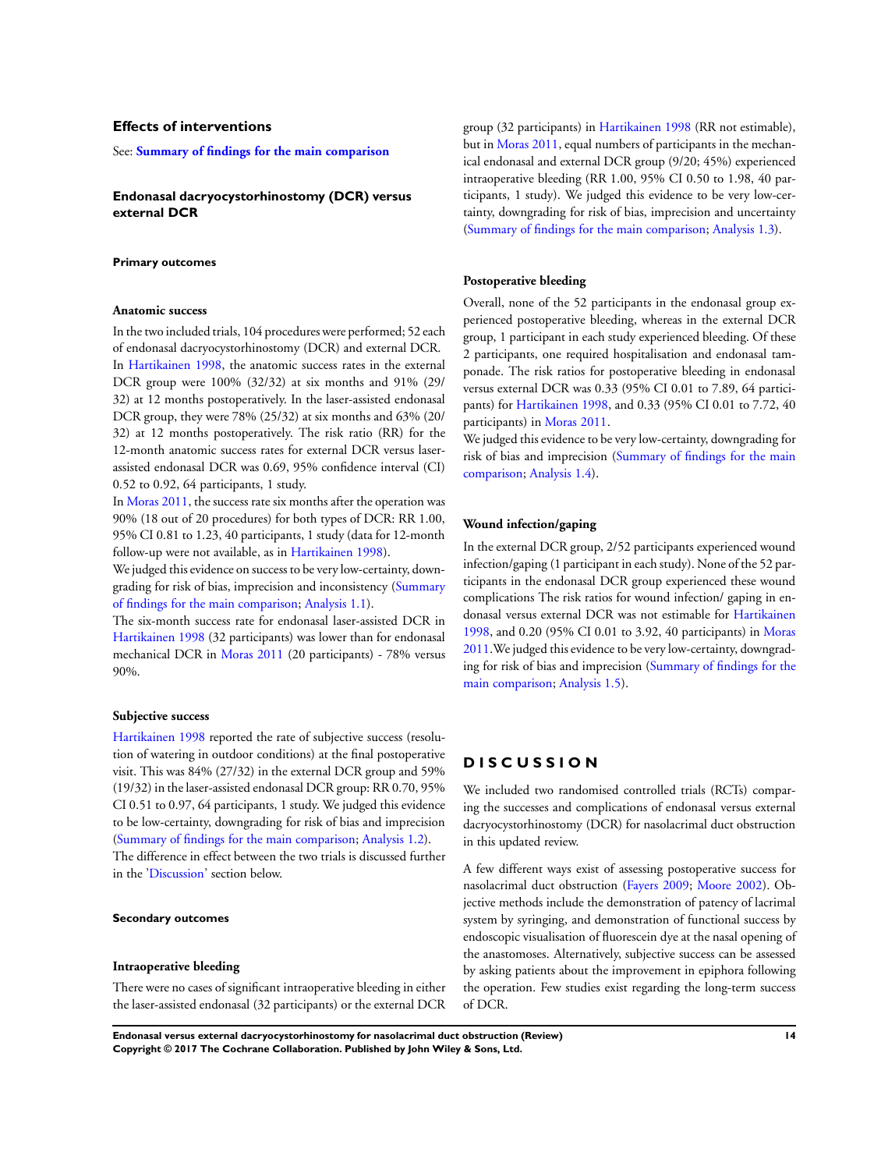### **Effects of interventions**

See: **[Summary of findings for the main comparison](#page-6-0)**

**Endonasal dacryocystorhinostomy (DCR) versus external DCR**

#### **Primary outcomes**

#### **Anatomic success**

In the two included trials, 104 procedures were performed; 52 each of endonasal dacryocystorhinostomy (DCR) and external DCR. In [Hartikainen 1998](#page-18-0), the anatomic success rates in the external DCR group were 100% (32/32) at six months and 91% (29/ 32) at 12 months postoperatively. In the laser-assisted endonasal DCR group, they were 78% (25/32) at six months and 63% (20/ 32) at 12 months postoperatively. The risk ratio (RR) for the 12-month anatomic success rates for external DCR versus laserassisted endonasal DCR was 0.69, 95% confidence interval (CI) 0.52 to 0.92, 64 participants, 1 study.

In [Moras 2011](#page-18-0), the success rate six months after the operation was 90% (18 out of 20 procedures) for both types of DCR: RR 1.00, 95% CI 0.81 to 1.23, 40 participants, 1 study (data for 12-month follow-up were not available, as in [Hartikainen 1998](#page-18-0)).

We judged this evidence on success to be very low-certainty, downgrading for risk of bias, imprecision and inconsistency [\(Summary](#page-6-0) [of findings for the main comparison;](#page-6-0) [Analysis 1.1\)](#page-27-0).

The six-month success rate for endonasal laser-assisted DCR in [Hartikainen 1998](#page-18-0) (32 participants) was lower than for endonasal mechanical DCR in [Moras 2011](#page-18-0) (20 participants) - 78% versus 90%.

#### **Subjective success**

[Hartikainen 1998](#page-18-0) reported the rate of subjective success (resolution of watering in outdoor conditions) at the final postoperative visit. This was 84% (27/32) in the external DCR group and 59% (19/32) in the laser-assisted endonasal DCR group: RR 0.70, 95% CI 0.51 to 0.97, 64 participants, 1 study. We judged this evidence to be low-certainty, downgrading for risk of bias and imprecision [\(Summary of findings for the main comparison](#page-6-0); [Analysis 1.2\)](#page-27-0). The difference in effect between the two trials is discussed further in the '[Discussion](#page-15-0)' section below.

#### **Secondary outcomes**

#### **Intraoperative bleeding**

There were no cases of significant intraoperative bleeding in either the laser-assisted endonasal (32 participants) or the external DCR

group (32 participants) in [Hartikainen 1998](#page-18-0) (RR not estimable), but in [Moras 2011,](#page-18-0) equal numbers of participants in the mechanical endonasal and external DCR group (9/20; 45%) experienced intraoperative bleeding (RR 1.00, 95% CI 0.50 to 1.98, 40 participants, 1 study). We judged this evidence to be very low-certainty, downgrading for risk of bias, imprecision and uncertainty [\(Summary of findings for the main comparison](#page-6-0); [Analysis 1.3\)](#page-27-0).

#### **Postoperative bleeding**

Overall, none of the 52 participants in the endonasal group experienced postoperative bleeding, whereas in the external DCR group, 1 participant in each study experienced bleeding. Of these 2 participants, one required hospitalisation and endonasal tamponade. The risk ratios for postoperative bleeding in endonasal versus external DCR was 0.33 (95% CI 0.01 to 7.89, 64 participants) for [Hartikainen 1998](#page-18-0), and 0.33 (95% CI 0.01 to 7.72, 40 participants) in [Moras 2011.](#page-18-0)

We judged this evidence to be very low-certainty, downgrading for risk of bias and imprecision ([Summary of findings for the main](#page-6-0) [comparison;](#page-6-0) [Analysis 1.4\)](#page-28-0).

#### **Wound infection/gaping**

In the external DCR group, 2/52 participants experienced wound infection/gaping (1 participant in each study). None of the 52 participants in the endonasal DCR group experienced these wound complications The risk ratios for wound infection/ gaping in endonasal versus external DCR was not estimable for [Hartikainen](#page-18-0) [1998](#page-18-0), and 0.20 (95% CI 0.01 to 3.92, 40 participants) in [Moras](#page-18-0) [2011](#page-18-0).We judged this evidence to be very low-certainty, downgrading for risk of bias and imprecision ([Summary of findings for the](#page-6-0) [main comparison;](#page-6-0) [Analysis 1.5](#page-29-0)).

# **D I S C U S S I O N**

We included two randomised controlled trials (RCTs) comparing the successes and complications of endonasal versus external dacryocystorhinostomy (DCR) for nasolacrimal duct obstruction in this updated review.

A few different ways exist of assessing postoperative success for nasolacrimal duct obstruction ([Fayers 2009](#page-18-0); [Moore 2002\)](#page-18-0). Objective methods include the demonstration of patency of lacrimal system by syringing, and demonstration of functional success by endoscopic visualisation of fluorescein dye at the nasal opening of the anastomoses. Alternatively, subjective success can be assessed by asking patients about the improvement in epiphora following the operation. Few studies exist regarding the long-term success of DCR.

**Endonasal versus external dacryocystorhinostomy for nasolacrimal duct obstruction (Review) 14 Copyright © 2017 The Cochrane Collaboration. Published by John Wiley & Sons, Ltd.**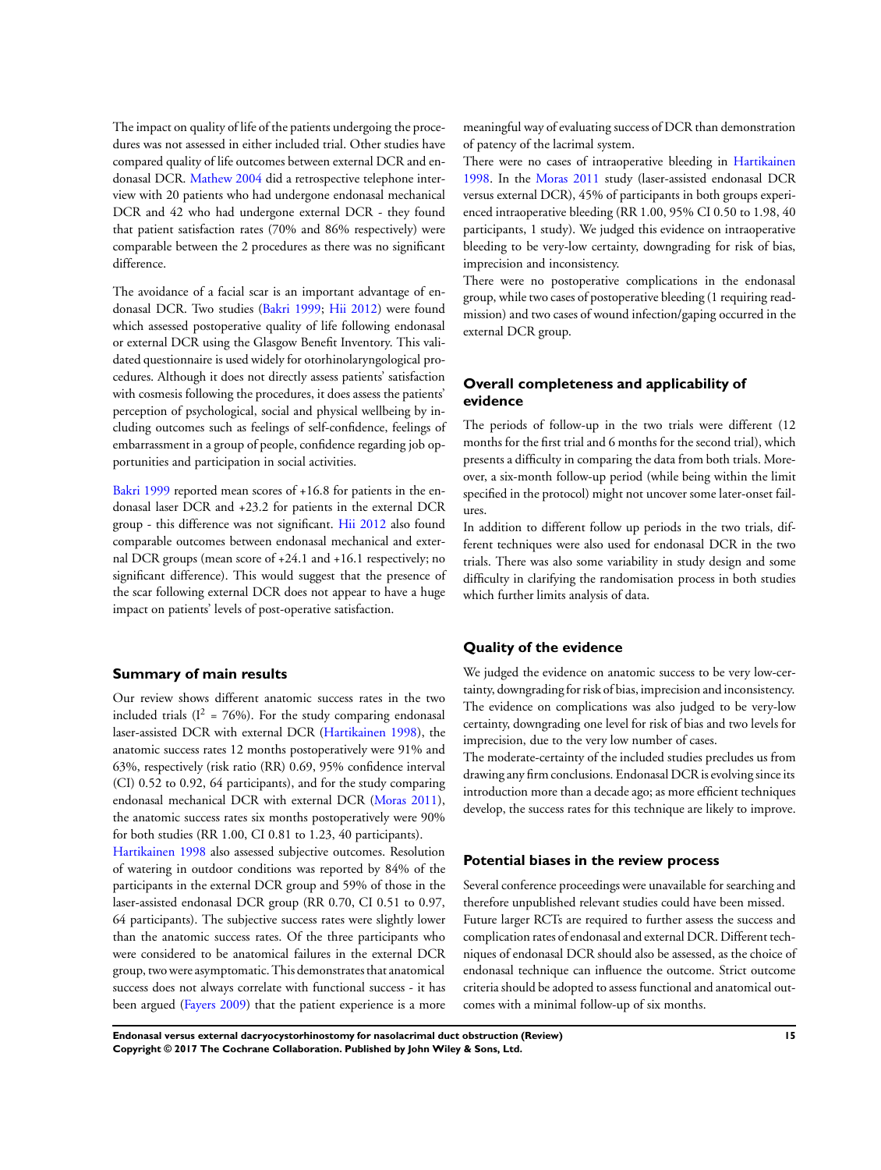The impact on quality of life of the patients undergoing the procedures was not assessed in either included trial. Other studies have compared quality of life outcomes between external DCR and endonasal DCR. [Mathew 2004](#page-18-0) did a retrospective telephone interview with 20 patients who had undergone endonasal mechanical DCR and 42 who had undergone external DCR - they found that patient satisfaction rates (70% and 86% respectively) were comparable between the 2 procedures as there was no significant difference.

The avoidance of a facial scar is an important advantage of endonasal DCR. Two studies [\(Bakri 1999](#page-18-0); [Hii 2012](#page-18-0)) were found which assessed postoperative quality of life following endonasal or external DCR using the Glasgow Benefit Inventory. This validated questionnaire is used widely for otorhinolaryngological procedures. Although it does not directly assess patients' satisfaction with cosmesis following the procedures, it does assess the patients' perception of psychological, social and physical wellbeing by including outcomes such as feelings of self-confidence, feelings of embarrassment in a group of people, confidence regarding job opportunities and participation in social activities.

[Bakri 1999](#page-18-0) reported mean scores of +16.8 for patients in the endonasal laser DCR and +23.2 for patients in the external DCR group - this difference was not significant. [Hii 2012](#page-18-0) also found comparable outcomes between endonasal mechanical and external DCR groups (mean score of +24.1 and +16.1 respectively; no significant difference). This would suggest that the presence of the scar following external DCR does not appear to have a huge impact on patients' levels of post-operative satisfaction.

#### **Summary of main results**

Our review shows different anatomic success rates in the two included trials ( $I^2 = 76\%$ ). For the study comparing endonasal laser-assisted DCR with external DCR ([Hartikainen 1998](#page-18-0)), the anatomic success rates 12 months postoperatively were 91% and 63%, respectively (risk ratio (RR) 0.69, 95% confidence interval (CI) 0.52 to 0.92, 64 participants), and for the study comparing endonasal mechanical DCR with external DCR ([Moras 2011](#page-18-0)), the anatomic success rates six months postoperatively were 90% for both studies (RR 1.00, CI 0.81 to 1.23, 40 participants).

[Hartikainen 1998](#page-18-0) also assessed subjective outcomes. Resolution of watering in outdoor conditions was reported by 84% of the participants in the external DCR group and 59% of those in the laser-assisted endonasal DCR group (RR 0.70, CI 0.51 to 0.97, 64 participants). The subjective success rates were slightly lower than the anatomic success rates. Of the three participants who were considered to be anatomical failures in the external DCR group, two were asymptomatic. This demonstrates that anatomical success does not always correlate with functional success - it has been argued [\(Fayers 2009\)](#page-18-0) that the patient experience is a more

meaningful way of evaluating success of DCR than demonstration of patency of the lacrimal system.

There were no cases of intraoperative bleeding in [Hartikainen](#page-18-0) [1998](#page-18-0). In the [Moras 2011](#page-18-0) study (laser-assisted endonasal DCR versus external DCR), 45% of participants in both groups experienced intraoperative bleeding (RR 1.00, 95% CI 0.50 to 1.98, 40 participants, 1 study). We judged this evidence on intraoperative bleeding to be very-low certainty, downgrading for risk of bias, imprecision and inconsistency.

There were no postoperative complications in the endonasal group, while two cases of postoperative bleeding (1 requiring readmission) and two cases of wound infection/gaping occurred in the external DCR group.

# **Overall completeness and applicability of evidence**

The periods of follow-up in the two trials were different (12 months for the first trial and 6 months for the second trial), which presents a difficulty in comparing the data from both trials. Moreover, a six-month follow-up period (while being within the limit specified in the protocol) might not uncover some later-onset failures.

In addition to different follow up periods in the two trials, different techniques were also used for endonasal DCR in the two trials. There was also some variability in study design and some difficulty in clarifying the randomisation process in both studies which further limits analysis of data.

#### **Quality of the evidence**

We judged the evidence on anatomic success to be very low-certainty, downgradingfor risk of bias, imprecision and inconsistency. The evidence on complications was also judged to be very-low certainty, downgrading one level for risk of bias and two levels for imprecision, due to the very low number of cases.

The moderate-certainty of the included studies precludes us from drawing any firm conclusions. Endonasal DCR is evolving since its introduction more than a decade ago; as more efficient techniques develop, the success rates for this technique are likely to improve.

#### **Potential biases in the review process**

Several conference proceedings were unavailable for searching and therefore unpublished relevant studies could have been missed. Future larger RCTs are required to further assess the success and complication rates of endonasal and external DCR. Different techniques of endonasal DCR should also be assessed, as the choice of endonasal technique can influence the outcome. Strict outcome criteria should be adopted to assess functional and anatomical outcomes with a minimal follow-up of six months.

**Endonasal versus external dacryocystorhinostomy for nasolacrimal duct obstruction (Review) 15 Copyright © 2017 The Cochrane Collaboration. Published by John Wiley & Sons, Ltd.**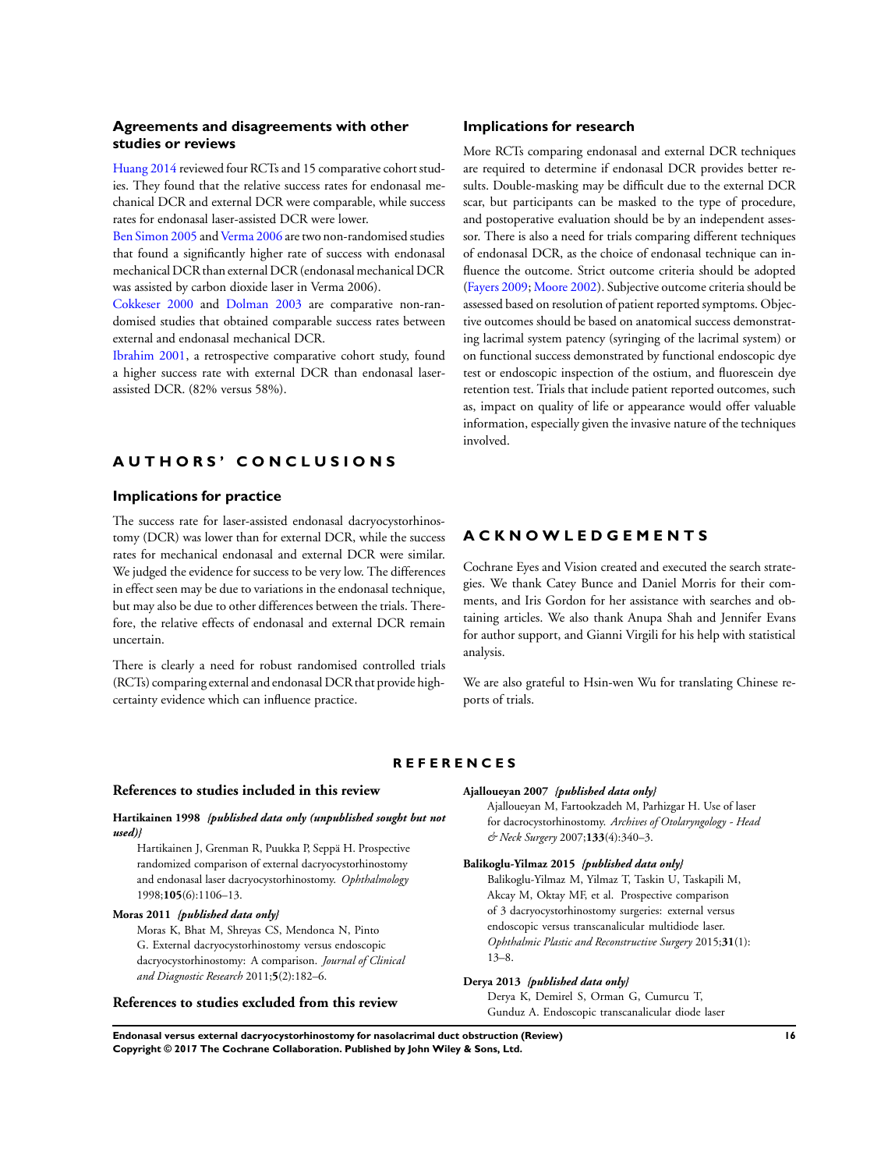## <span id="page-18-0"></span>**Agreements and disagreements with other studies or reviews**

Huang 2014 reviewed four RCTs and 15 comparative cohort studies. They found that the relative success rates for endonasal mechanical DCR and external DCR were comparable, while success rates for endonasal laser-assisted DCR were lower.

Ben Simon 2005 and Verma 2006 are two non-randomised studies that found a significantly higher rate of success with endonasal mechanical DCR than external DCR (endonasal mechanical DCR was assisted by carbon dioxide laser in Verma 2006).

Cokkeser 2000 and Dolman 2003 are comparative non-randomised studies that obtained comparable success rates between external and endonasal mechanical DCR.

Ibrahim 2001, a retrospective comparative cohort study, found a higher success rate with external DCR than endonasal laserassisted DCR. (82% versus 58%).

# **A U T H O R S ' C O N C L U S I O N S**

### **Implications for practice**

The success rate for laser-assisted endonasal dacryocystorhinostomy (DCR) was lower than for external DCR, while the success rates for mechanical endonasal and external DCR were similar. We judged the evidence for success to be very low. The differences in effect seen may be due to variations in the endonasal technique, but may also be due to other differences between the trials. Therefore, the relative effects of endonasal and external DCR remain uncertain.

There is clearly a need for robust randomised controlled trials (RCTs) comparing external and endonasal DCR that provide highcertainty evidence which can influence practice.

#### **Implications for research**

More RCTs comparing endonasal and external DCR techniques are required to determine if endonasal DCR provides better results. Double-masking may be difficult due to the external DCR scar, but participants can be masked to the type of procedure, and postoperative evaluation should be by an independent assessor. There is also a need for trials comparing different techniques of endonasal DCR, as the choice of endonasal technique can influence the outcome. Strict outcome criteria should be adopted (Fayers 2009; Moore 2002). Subjective outcome criteria should be assessed based on resolution of patient reported symptoms. Objective outcomes should be based on anatomical success demonstrating lacrimal system patency (syringing of the lacrimal system) or on functional success demonstrated by functional endoscopic dye test or endoscopic inspection of the ostium, and fluorescein dye retention test. Trials that include patient reported outcomes, such as, impact on quality of life or appearance would offer valuable information, especially given the invasive nature of the techniques involved.

# **A C K N O W L E D G E M E N T S**

Cochrane Eyes and Vision created and executed the search strategies. We thank Catey Bunce and Daniel Morris for their comments, and Iris Gordon for her assistance with searches and obtaining articles. We also thank Anupa Shah and Jennifer Evans for author support, and Gianni Virgili for his help with statistical analysis.

We are also grateful to Hsin-wen Wu for translating Chinese reports of trials.

#### **R E F E R E N C E S**

#### **References to studies included in this review**

**Hartikainen 1998** *{published data only (unpublished sought but not used)}*

Hartikainen J, Grenman R, Puukka P, Seppä H. Prospective randomized comparison of external dacryocystorhinostomy and endonasal laser dacryocystorhinostomy. *Ophthalmology* 1998;**105**(6):1106–13.

#### **Moras 2011** *{published data only}*

Moras K, Bhat M, Shreyas CS, Mendonca N, Pinto G. External dacryocystorhinostomy versus endoscopic dacryocystorhinostomy: A comparison. *Journal of Clinical and Diagnostic Research* 2011;**5**(2):182–6.

#### **References to studies excluded from this review**

#### **Ajalloueyan 2007** *{published data only}*

Ajalloueyan M, Fartookzadeh M, Parhizgar H. Use of laser for dacrocystorhinostomy. *Archives of Otolaryngology - Head & Neck Surgery* 2007;**133**(4):340–3.

#### **Balikoglu-Yilmaz 2015** *{published data only}*

Balikoglu-Yilmaz M, Yilmaz T, Taskin U, Taskapili M, Akcay M, Oktay MF, et al. Prospective comparison of 3 dacryocystorhinostomy surgeries: external versus endoscopic versus transcanalicular multidiode laser. *Ophthalmic Plastic and Reconstructive Surgery* 2015;**31**(1): 13–8.

#### **Derya 2013** *{published data only}*

Derya K, Demirel S, Orman G, Cumurcu T, Gunduz A. Endoscopic transcanalicular diode laser

**Endonasal versus external dacryocystorhinostomy for nasolacrimal duct obstruction (Review) 16 Copyright © 2017 The Cochrane Collaboration. Published by John Wiley & Sons, Ltd.**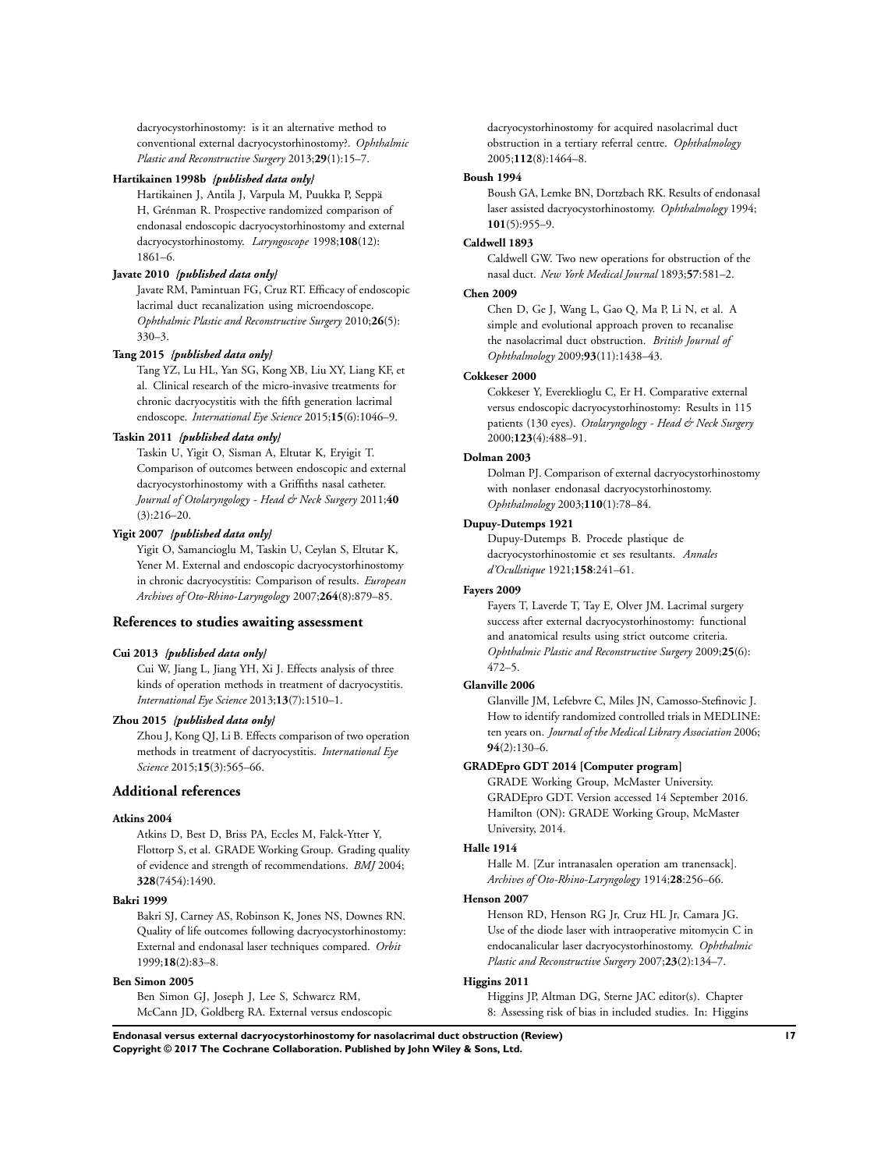dacryocystorhinostomy: is it an alternative method to conventional external dacryocystorhinostomy?. *Ophthalmic Plastic and Reconstructive Surgery* 2013;**29**(1):15–7.

#### **Hartikainen 1998b** *{published data only}*

Hartikainen J, Antila J, Varpula M, Puukka P, Seppä H, Grénman R. Prospective randomized comparison of endonasal endoscopic dacryocystorhinostomy and external dacryocystorhinostomy. *Laryngoscope* 1998;**108**(12): 1861–6.

# **Javate 2010** *{published data only}*

Javate RM, Pamintuan FG, Cruz RT. Efficacy of endoscopic lacrimal duct recanalization using microendoscope. *Ophthalmic Plastic and Reconstructive Surgery* 2010;**26**(5): 330–3.

#### **Tang 2015** *{published data only}*

Tang YZ, Lu HL, Yan SG, Kong XB, Liu XY, Liang KF, et al. Clinical research of the micro-invasive treatments for chronic dacryocystitis with the fifth generation lacrimal endoscope. *International Eye Science* 2015;**15**(6):1046–9.

#### **Taskin 2011** *{published data only}*

Taskin U, Yigit O, Sisman A, Eltutar K, Eryigit T. Comparison of outcomes between endoscopic and external dacryocystorhinostomy with a Griffiths nasal catheter. *Journal of Otolaryngology - Head & Neck Surgery* 2011;**40** (3):216–20.

#### **Yigit 2007** *{published data only}*

Yigit O, Samancioglu M, Taskin U, Ceylan S, Eltutar K, Yener M. External and endoscopic dacryocystorhinostomy in chronic dacryocystitis: Comparison of results. *European Archives of Oto-Rhino-Laryngology* 2007;**264**(8):879–85.

#### **References to studies awaiting assessment**

#### **Cui 2013** *{published data only}*

Cui W, Jiang L, Jiang YH, Xi J. Effects analysis of three kinds of operation methods in treatment of dacryocystitis. *International Eye Science* 2013;**13**(7):1510–1.

#### **Zhou 2015** *{published data only}*

Zhou J, Kong QJ, Li B. Effects comparison of two operation methods in treatment of dacryocystitis. *International Eye Science* 2015;**15**(3):565–66.

### **Additional references**

#### **Atkins 2004**

Atkins D, Best D, Briss PA, Eccles M, Falck-Ytter Y, Flottorp S, et al. GRADE Working Group. Grading quality of evidence and strength of recommendations. *BMJ* 2004; **328**(7454):1490.

#### **Bakri 1999**

Bakri SJ, Carney AS, Robinson K, Jones NS, Downes RN. Quality of life outcomes following dacryocystorhinostomy: External and endonasal laser techniques compared. *Orbit* 1999;**18**(2):83–8.

#### **Ben Simon 2005**

Ben Simon GJ, Joseph J, Lee S, Schwarcz RM, McCann JD, Goldberg RA. External versus endoscopic dacryocystorhinostomy for acquired nasolacrimal duct obstruction in a tertiary referral centre. *Ophthalmology* 2005;**112**(8):1464–8.

# **Boush 1994**

Boush GA, Lemke BN, Dortzbach RK. Results of endonasal laser assisted dacryocystorhinostomy. *Ophthalmology* 1994; **101**(5):955–9.

#### **Caldwell 1893**

Caldwell GW. Two new operations for obstruction of the nasal duct. *New York Medical Journal* 1893;**57**:581–2.

#### **Chen 2009**

Chen D, Ge J, Wang L, Gao Q, Ma P, Li N, et al. A simple and evolutional approach proven to recanalise the nasolacrimal duct obstruction. *British Journal of Ophthalmology* 2009;**93**(11):1438–43.

#### **Cokkeser 2000**

Cokkeser Y, Evereklioglu C, Er H. Comparative external versus endoscopic dacryocystorhinostomy: Results in 115 patients (130 eyes). *Otolaryngology - Head & Neck Surgery* 2000;**123**(4):488–91.

#### **Dolman 2003**

Dolman PJ. Comparison of external dacryocystorhinostomy with nonlaser endonasal dacryocystorhinostomy. *Ophthalmology* 2003;**110**(1):78–84.

#### **Dupuy-Dutemps 1921**

Dupuy-Dutemps B. Procede plastique de dacryocystorhinostomie et ses resultants. *Annales d'Ocullstique* 1921;**158**:241–61.

#### **Fayers 2009**

Fayers T, Laverde T, Tay E, Olver JM. Lacrimal surgery success after external dacryocystorhinostomy: functional and anatomical results using strict outcome criteria. *Ophthalmic Plastic and Reconstructive Surgery* 2009;**25**(6): 472–5.

#### **Glanville 2006**

Glanville JM, Lefebvre C, Miles JN, Camosso-Stefinovic J. How to identify randomized controlled trials in MEDLINE: ten years on. *Journal of the Medical Library Association* 2006; **94**(2):130–6.

#### **GRADEpro GDT 2014 [Computer program]**

GRADE Working Group, McMaster University. GRADEpro GDT. Version accessed 14 September 2016. Hamilton (ON): GRADE Working Group, McMaster University, 2014.

#### **Halle 1914**

Halle M. [Zur intranasalen operation am tranensack]. *Archives of Oto-Rhino-Laryngology* 1914;**28**:256–66.

#### **Henson 2007**

Henson RD, Henson RG Jr, Cruz HL Jr, Camara JG. Use of the diode laser with intraoperative mitomycin C in endocanalicular laser dacryocystorhinostomy. *Ophthalmic Plastic and Reconstructive Surgery* 2007;**23**(2):134–7.

#### **Higgins 2011**

Higgins JP, Altman DG, Sterne JAC editor(s). Chapter 8: Assessing risk of bias in included studies. In: Higgins

**Endonasal versus external dacryocystorhinostomy for nasolacrimal duct obstruction (Review) 17 Copyright © 2017 The Cochrane Collaboration. Published by John Wiley & Sons, Ltd.**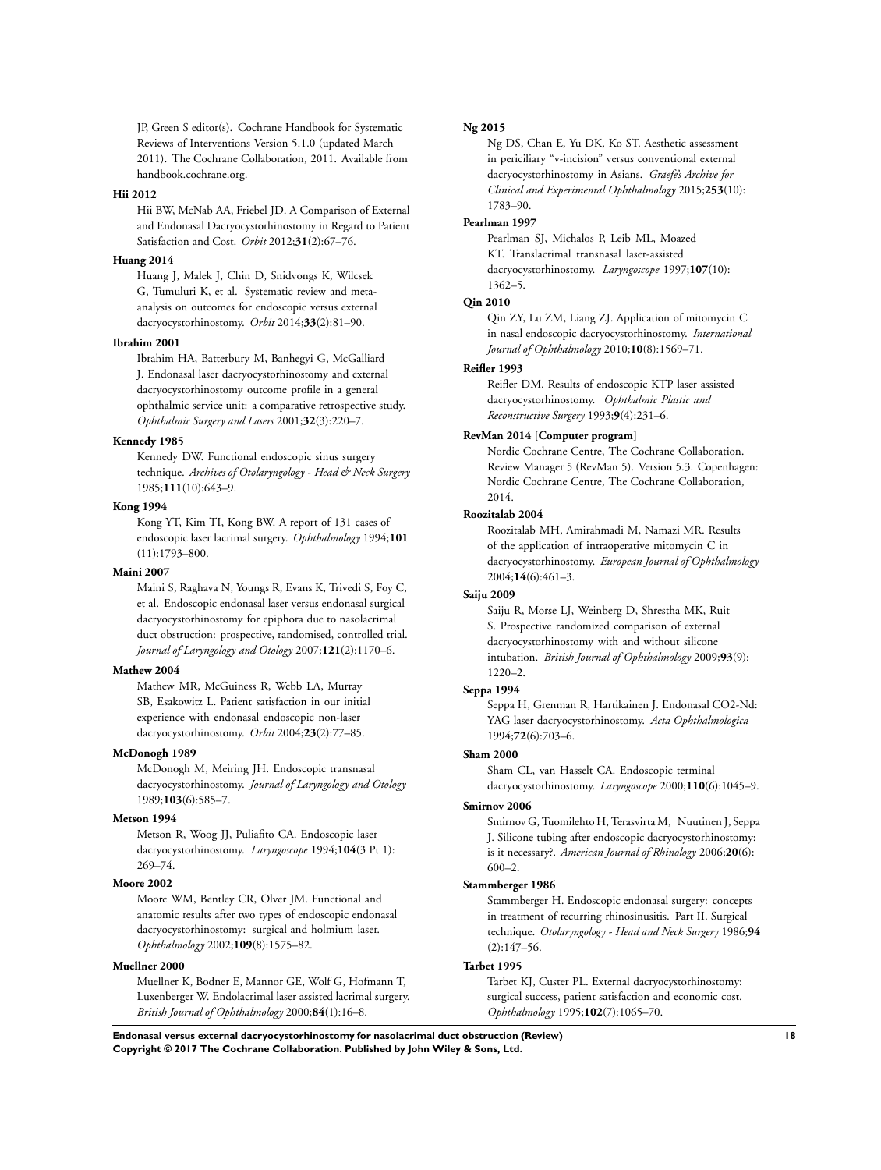JP, Green S editor(s). Cochrane Handbook for Systematic Reviews of Interventions Version 5.1.0 (updated March 2011). The Cochrane Collaboration, 2011. Available from handbook.cochrane.org.

#### **Hii 2012**

Hii BW, McNab AA, Friebel JD. A Comparison of External and Endonasal Dacryocystorhinostomy in Regard to Patient Satisfaction and Cost. *Orbit* 2012;**31**(2):67–76.

#### **Huang 2014**

Huang J, Malek J, Chin D, Snidvongs K, Wilcsek G, Tumuluri K, et al. Systematic review and metaanalysis on outcomes for endoscopic versus external dacryocystorhinostomy. *Orbit* 2014;**33**(2):81–90.

#### **Ibrahim 2001**

Ibrahim HA, Batterbury M, Banhegyi G, McGalliard J. Endonasal laser dacryocystorhinostomy and external dacryocystorhinostomy outcome profile in a general ophthalmic service unit: a comparative retrospective study. *Ophthalmic Surgery and Lasers* 2001;**32**(3):220–7.

#### **Kennedy 1985**

Kennedy DW. Functional endoscopic sinus surgery technique. *Archives of Otolaryngology - Head & Neck Surgery* 1985;**111**(10):643–9.

# **Kong 1994**

Kong YT, Kim TI, Kong BW. A report of 131 cases of endoscopic laser lacrimal surgery. *Ophthalmology* 1994;**101** (11):1793–800.

#### **Maini 2007**

Maini S, Raghava N, Youngs R, Evans K, Trivedi S, Foy C, et al. Endoscopic endonasal laser versus endonasal surgical dacryocystorhinostomy for epiphora due to nasolacrimal duct obstruction: prospective, randomised, controlled trial. *Journal of Laryngology and Otology* 2007;**121**(2):1170–6.

#### **Mathew 2004**

Mathew MR, McGuiness R, Webb LA, Murray SB, Esakowitz L. Patient satisfaction in our initial experience with endonasal endoscopic non-laser dacryocystorhinostomy. *Orbit* 2004;**23**(2):77–85.

#### **McDonogh 1989**

McDonogh M, Meiring JH. Endoscopic transnasal dacryocystorhinostomy. *Journal of Laryngology and Otology* 1989;**103**(6):585–7.

#### **Metson 1994**

Metson R, Woog JJ, Puliafito CA. Endoscopic laser dacryocystorhinostomy. *Laryngoscope* 1994;**104**(3 Pt 1): 269–74.

#### **Moore 2002**

Moore WM, Bentley CR, Olver JM. Functional and anatomic results after two types of endoscopic endonasal dacryocystorhinostomy: surgical and holmium laser. *Ophthalmology* 2002;**109**(8):1575–82.

#### **Muellner 2000**

Muellner K, Bodner E, Mannor GE, Wolf G, Hofmann T, Luxenberger W. Endolacrimal laser assisted lacrimal surgery. *British Journal of Ophthalmology* 2000;**84**(1):16–8.

#### **Ng 2015**

Ng DS, Chan E, Yu DK, Ko ST. Aesthetic assessment in periciliary "v-incision" versus conventional external dacryocystorhinostomy in Asians. *Graefe's Archive for Clinical and Experimental Ophthalmology* 2015;**253**(10): 1783–90.

#### **Pearlman 1997**

Pearlman SJ, Michalos P, Leib ML, Moazed KT. Translacrimal transnasal laser-assisted dacryocystorhinostomy. *Laryngoscope* 1997;**107**(10): 1362–5.

#### **Qin 2010**

Qin ZY, Lu ZM, Liang ZJ. Application of mitomycin C in nasal endoscopic dacryocystorhinostomy. *International Journal of Ophthalmology* 2010;**10**(8):1569–71.

#### **Reifler 1993**

Reifler DM. Results of endoscopic KTP laser assisted dacryocystorhinostomy. *Ophthalmic Plastic and Reconstructive Surgery* 1993;**9**(4):231–6.

#### **RevMan 2014 [Computer program]**

Nordic Cochrane Centre, The Cochrane Collaboration. Review Manager 5 (RevMan 5). Version 5.3. Copenhagen: Nordic Cochrane Centre, The Cochrane Collaboration, 2014.

#### **Roozitalab 2004**

Roozitalab MH, Amirahmadi M, Namazi MR. Results of the application of intraoperative mitomycin C in dacryocystorhinostomy. *European Journal of Ophthalmology* 2004;**14**(6):461–3.

#### **Saiju 2009**

Saiju R, Morse LJ, Weinberg D, Shrestha MK, Ruit S. Prospective randomized comparison of external dacryocystorhinostomy with and without silicone intubation. *British Journal of Ophthalmology* 2009;**93**(9): 1220–2.

#### **Seppa 1994**

Seppa H, Grenman R, Hartikainen J. Endonasal CO2-Nd: YAG laser dacryocystorhinostomy. *Acta Ophthalmologica* 1994;**72**(6):703–6.

#### **Sham 2000**

Sham CL, van Hasselt CA. Endoscopic terminal dacryocystorhinostomy. *Laryngoscope* 2000;**110**(6):1045–9.

#### **Smirnov 2006**

Smirnov G, Tuomilehto H, Terasvirta M, Nuutinen J, Seppa J. Silicone tubing after endoscopic dacryocystorhinostomy: is it necessary?. *American Journal of Rhinology* 2006;**20**(6): 600–2.

#### **Stammberger 1986**

Stammberger H. Endoscopic endonasal surgery: concepts in treatment of recurring rhinosinusitis. Part II. Surgical technique. *Otolaryngology - Head and Neck Surgery* 1986;**94** (2):147–56.

#### **Tarbet 1995**

Tarbet KJ, Custer PL. External dacryocystorhinostomy: surgical success, patient satisfaction and economic cost. *Ophthalmology* 1995;**102**(7):1065–70.

**Endonasal versus external dacryocystorhinostomy for nasolacrimal duct obstruction (Review) 18 Copyright © 2017 The Cochrane Collaboration. Published by John Wiley & Sons, Ltd.**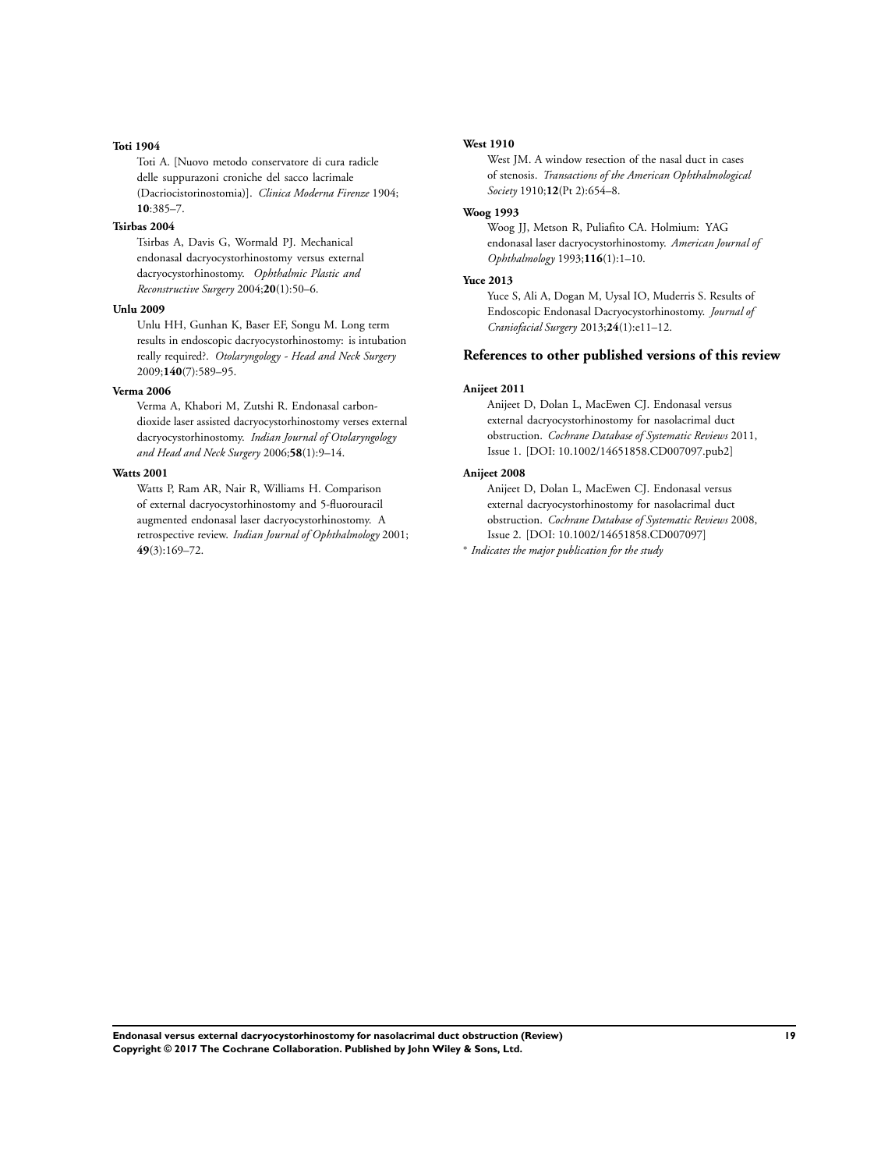#### **Toti 1904**

Toti A. [Nuovo metodo conservatore di cura radicle delle suppurazoni croniche del sacco lacrimale (Dacriocistorinostomia)]. *Clinica Moderna Firenze* 1904; **10**:385–7.

#### **Tsirbas 2004**

Tsirbas A, Davis G, Wormald PJ. Mechanical endonasal dacryocystorhinostomy versus external dacryocystorhinostomy. *Ophthalmic Plastic and Reconstructive Surgery* 2004;**20**(1):50–6.

#### **Unlu 2009**

Unlu HH, Gunhan K, Baser EF, Songu M. Long term results in endoscopic dacryocystorhinostomy: is intubation really required?. *Otolaryngology - Head and Neck Surgery* 2009;**140**(7):589–95.

#### **Verma 2006**

Verma A, Khabori M, Zutshi R. Endonasal carbondioxide laser assisted dacryocystorhinostomy verses external dacryocystorhinostomy. *Indian Journal of Otolaryngology and Head and Neck Surgery* 2006;**58**(1):9–14.

#### **Watts 2001**

Watts P, Ram AR, Nair R, Williams H. Comparison of external dacryocystorhinostomy and 5-fluorouracil augmented endonasal laser dacryocystorhinostomy. A retrospective review. *Indian Journal of Ophthalmology* 2001; **49**(3):169–72.

#### **West 1910**

West JM. A window resection of the nasal duct in cases of stenosis. *Transactions of the American Ophthalmological Society* 1910;**12**(Pt 2):654–8.

#### **Woog 1993**

Woog JJ, Metson R, Puliafito CA. Holmium: YAG endonasal laser dacryocystorhinostomy. *American Journal of Ophthalmology* 1993;**116**(1):1–10.

#### **Yuce 2013**

Yuce S, Ali A, Dogan M, Uysal IO, Muderris S. Results of Endoscopic Endonasal Dacryocystorhinostomy. *Journal of Craniofacial Surgery* 2013;**24**(1):e11–12.

#### **References to other published versions of this review**

#### **Anijeet 2011**

Anijeet D, Dolan L, MacEwen CJ. Endonasal versus external dacryocystorhinostomy for nasolacrimal duct obstruction. *Cochrane Database of Systematic Reviews* 2011, Issue 1. [DOI: 10.1002/14651858.CD007097.pub2]

#### **Anijeet 2008**

Anijeet D, Dolan L, MacEwen CJ. Endonasal versus external dacryocystorhinostomy for nasolacrimal duct obstruction. *Cochrane Database of Systematic Reviews* 2008, Issue 2. [DOI: 10.1002/14651858.CD007097]

∗ *Indicates the major publication for the study*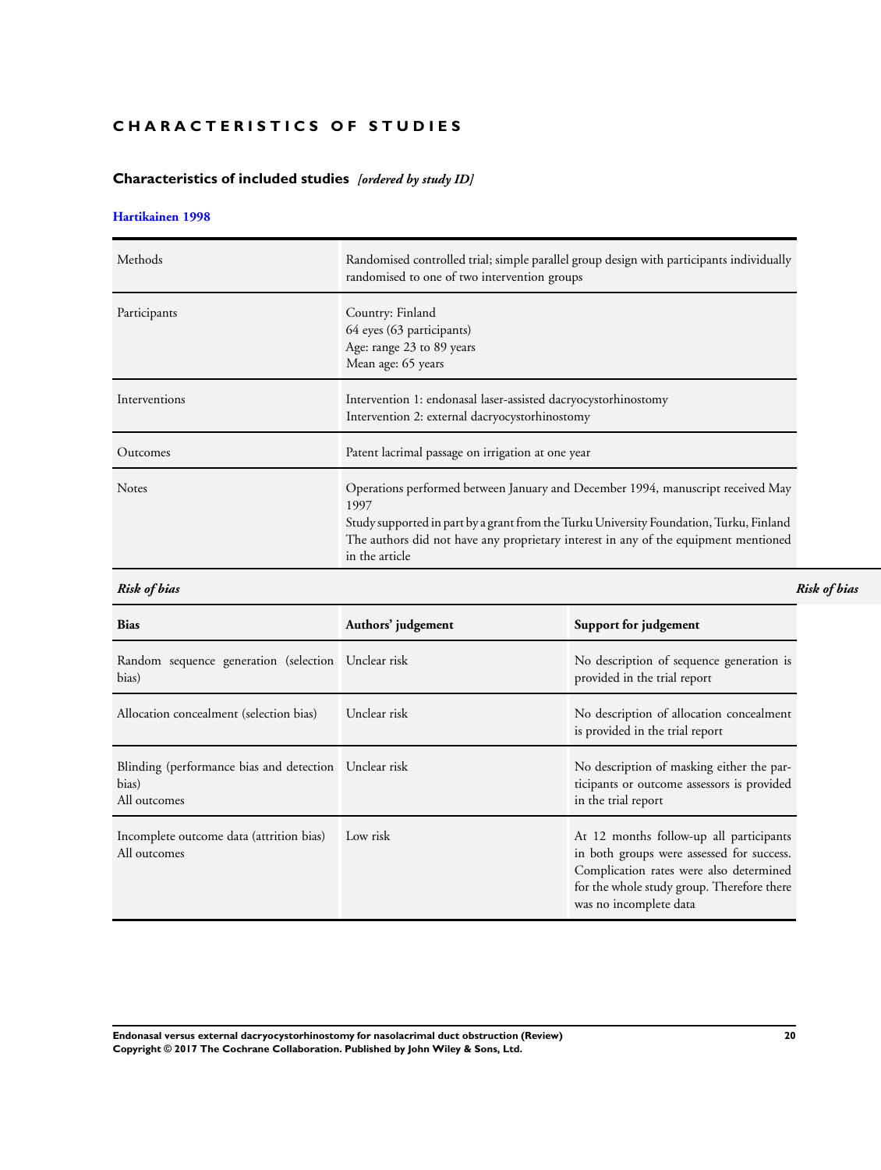# <span id="page-22-0"></span>**CHARACTERISTICS OF STUDIES**

# **Characteristics of included studies** *[ordered by study ID]*

#### **[Hartikainen 1998](#page-18-0)**

| Methods       | Randomised controlled trial; simple parallel group design with participants individually<br>randomised to one of two intervention groups                                                                                                                                                    |
|---------------|---------------------------------------------------------------------------------------------------------------------------------------------------------------------------------------------------------------------------------------------------------------------------------------------|
| Participants  | Country: Finland<br>64 eyes (63 participants)<br>Age: range 23 to 89 years<br>Mean age: 65 years                                                                                                                                                                                            |
| Interventions | Intervention 1: endonasal laser-assisted dacryocystorhinostomy<br>Intervention 2: external dacryocystorhinostomy                                                                                                                                                                            |
| Outcomes      | Patent lacrimal passage on irrigation at one year                                                                                                                                                                                                                                           |
| <b>Notes</b>  | Operations performed between January and December 1994, manuscript received May<br>1997<br>Study supported in part by a grant from the Turku University Foundation, Turku, Finland<br>The authors did not have any proprietary interest in any of the equipment mentioned<br>in the article |

**Bias Authors' judgement Support for judgement** Random sequence generation (selection Unclear risk bias) No description of sequence generation is provided in the trial report Allocation concealment (selection bias) Unclear risk No description of allocation concealment is provided in the trial report Blinding (performance bias and detection Unclear risk bias) All outcomes No description of masking either the participants or outcome assessors is provided in the trial report Incomplete outcome data (attrition bias) All outcomes Low risk At 12 months follow-up all participants in both groups were assessed for success. Complication rates were also determined for the whole study group. Therefore there was no incomplete data

**Endonasal versus external dacryocystorhinostomy for nasolacrimal duct obstruction (Review) 20 Copyright © 2017 The Cochrane Collaboration. Published by John Wiley & Sons, Ltd.**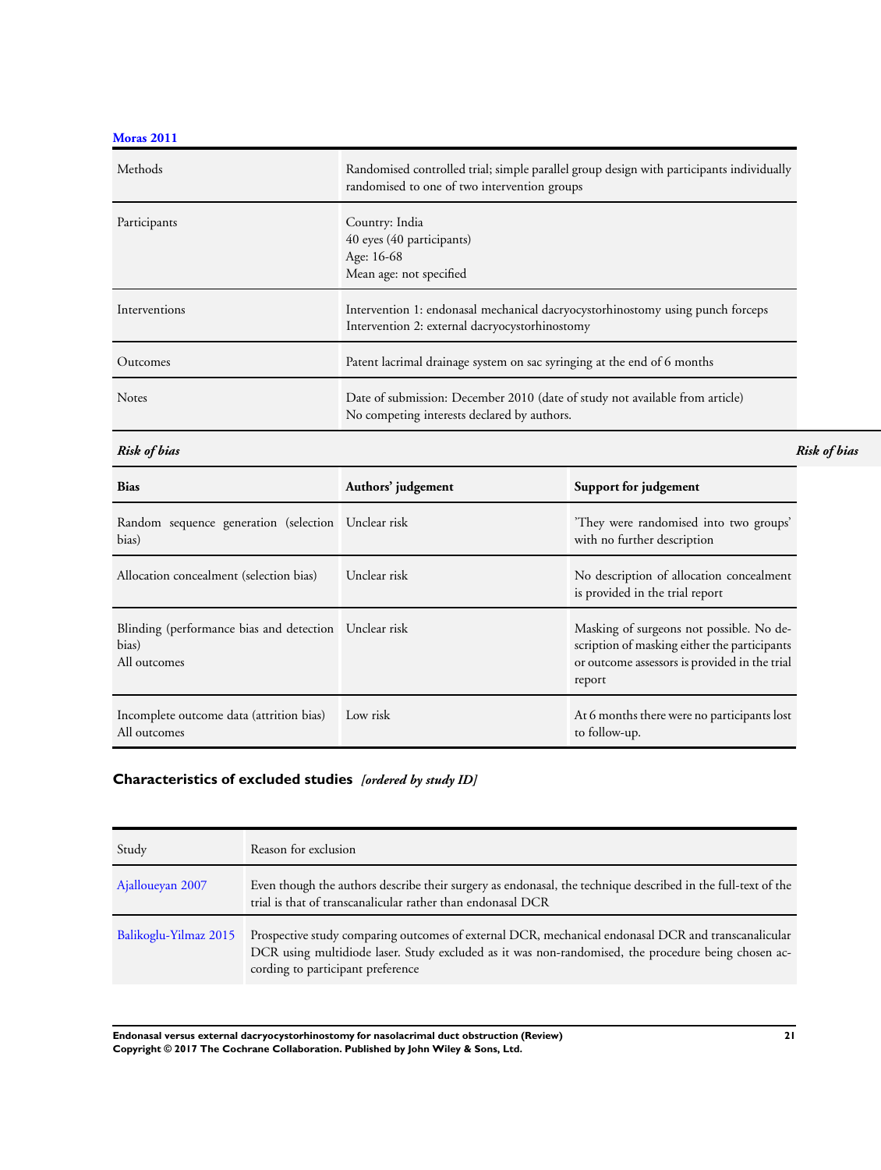<span id="page-23-0"></span>**[Moras 2011](#page-18-0)**

| Methods       | Randomised controlled trial; simple parallel group design with participants individually<br>randomised to one of two intervention groups |  |  |
|---------------|------------------------------------------------------------------------------------------------------------------------------------------|--|--|
| Participants  | Country: India<br>40 eyes (40 participants)<br>Age: 16-68<br>Mean age: not specified                                                     |  |  |
| Interventions | Intervention 1: endonasal mechanical dacryocystorhinostomy using punch forceps<br>Intervention 2: external dacryocystorhinostomy         |  |  |
| Outcomes      | Patent lacrimal drainage system on sac syringing at the end of 6 months                                                                  |  |  |
| <b>Notes</b>  | Date of submission: December 2010 (date of study not available from article)<br>No competing interests declared by authors.              |  |  |

*Risk of bias Risk of bias*

| <b>Bias</b>                                                                    | Authors' judgement | Support for judgement                                                                                                                               |
|--------------------------------------------------------------------------------|--------------------|-----------------------------------------------------------------------------------------------------------------------------------------------------|
| Random sequence generation (selection Unclear risk<br>bias)                    |                    | They were randomised into two groups'<br>with no further description                                                                                |
| Allocation concealment (selection bias)                                        | Unclear risk       | No description of allocation concealment<br>is provided in the trial report                                                                         |
| Blinding (performance bias and detection Unclear risk<br>bias)<br>All outcomes |                    | Masking of surgeons not possible. No de-<br>scription of masking either the participants<br>or outcome assessors is provided in the trial<br>report |
| Incomplete outcome data (attrition bias)<br>All outcomes                       | Low risk           | At 6 months there were no participants lost<br>to follow-up.                                                                                        |

# **Characteristics of excluded studies** *[ordered by study ID]*

| Study                 | Reason for exclusion                                                                                                                                                                                                                            |
|-----------------------|-------------------------------------------------------------------------------------------------------------------------------------------------------------------------------------------------------------------------------------------------|
| Ajalloueyan 2007      | Even though the authors describe their surgery as endonasal, the technique described in the full-text of the<br>trial is that of transcanalicular rather than endonasal DCR                                                                     |
| Balikoglu-Yilmaz 2015 | Prospective study comparing outcomes of external DCR, mechanical endonasal DCR and transcanalicular<br>DCR using multidiode laser. Study excluded as it was non-randomised, the procedure being chosen ac-<br>cording to participant preference |

**Endonasal versus external dacryocystorhinostomy for nasolacrimal duct obstruction (Review) 21 Copyright © 2017 The Cochrane Collaboration. Published by John Wiley & Sons, Ltd.**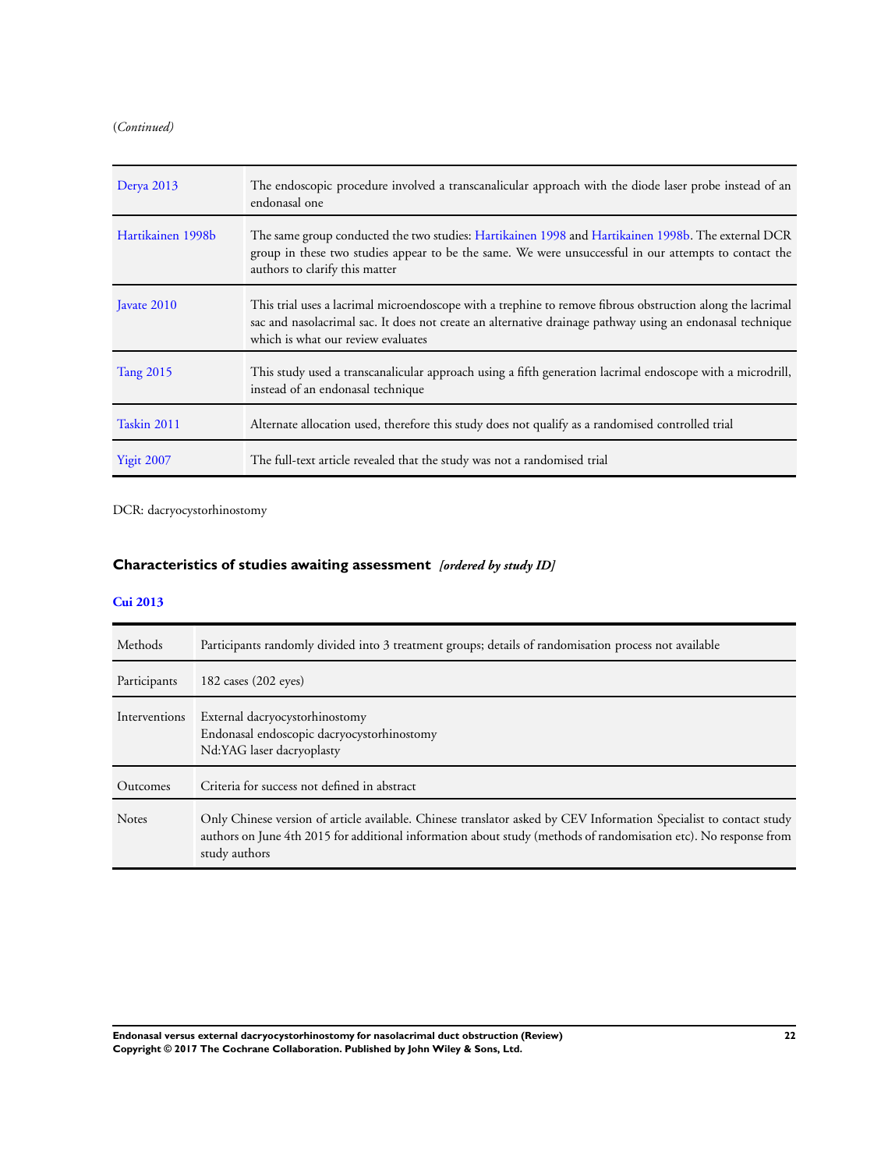<span id="page-24-0"></span>(*Continued)*

| Derya $2013$      | The endoscopic procedure involved a transcanalicular approach with the diode laser probe instead of an<br>endonasal one                                                                                                                                       |
|-------------------|---------------------------------------------------------------------------------------------------------------------------------------------------------------------------------------------------------------------------------------------------------------|
| Hartikainen 1998b | The same group conducted the two studies: Hartikainen 1998 and Hartikainen 1998b. The external DCR<br>group in these two studies appear to be the same. We were unsuccessful in our attempts to contact the<br>authors to clarify this matter                 |
| Javate 2010       | This trial uses a lacrimal microendoscope with a trephine to remove fibrous obstruction along the lacrimal<br>sac and nasolacrimal sac. It does not create an alternative drainage pathway using an endonasal technique<br>which is what our review evaluates |
| <b>Tang 2015</b>  | This study used a transcanalicular approach using a fifth generation lacrimal endoscope with a microdrill,<br>instead of an endonasal technique                                                                                                               |
| Taskin 2011       | Alternate allocation used, therefore this study does not qualify as a randomised controlled trial                                                                                                                                                             |
| <b>Yigit 2007</b> | The full-text article revealed that the study was not a randomised trial                                                                                                                                                                                      |

DCR: dacryocystorhinostomy

# **Characteristics of studies awaiting assessment** *[ordered by study ID]*

# **[Cui 2013](#page-18-0)**

| Methods       | Participants randomly divided into 3 treatment groups; details of randomisation process not available                                                                                                                                                   |
|---------------|---------------------------------------------------------------------------------------------------------------------------------------------------------------------------------------------------------------------------------------------------------|
| Participants  | 182 cases $(202$ eyes)                                                                                                                                                                                                                                  |
| Interventions | External dacryocystorhinostomy<br>Endonasal endoscopic dacryocystorhinostomy<br>Nd:YAG laser dacryoplasty                                                                                                                                               |
| Outcomes      | Criteria for success not defined in abstract                                                                                                                                                                                                            |
| <b>Notes</b>  | Only Chinese version of article available. Chinese translator asked by CEV Information Specialist to contact study<br>authors on June 4th 2015 for additional information about study (methods of randomisation etc). No response from<br>study authors |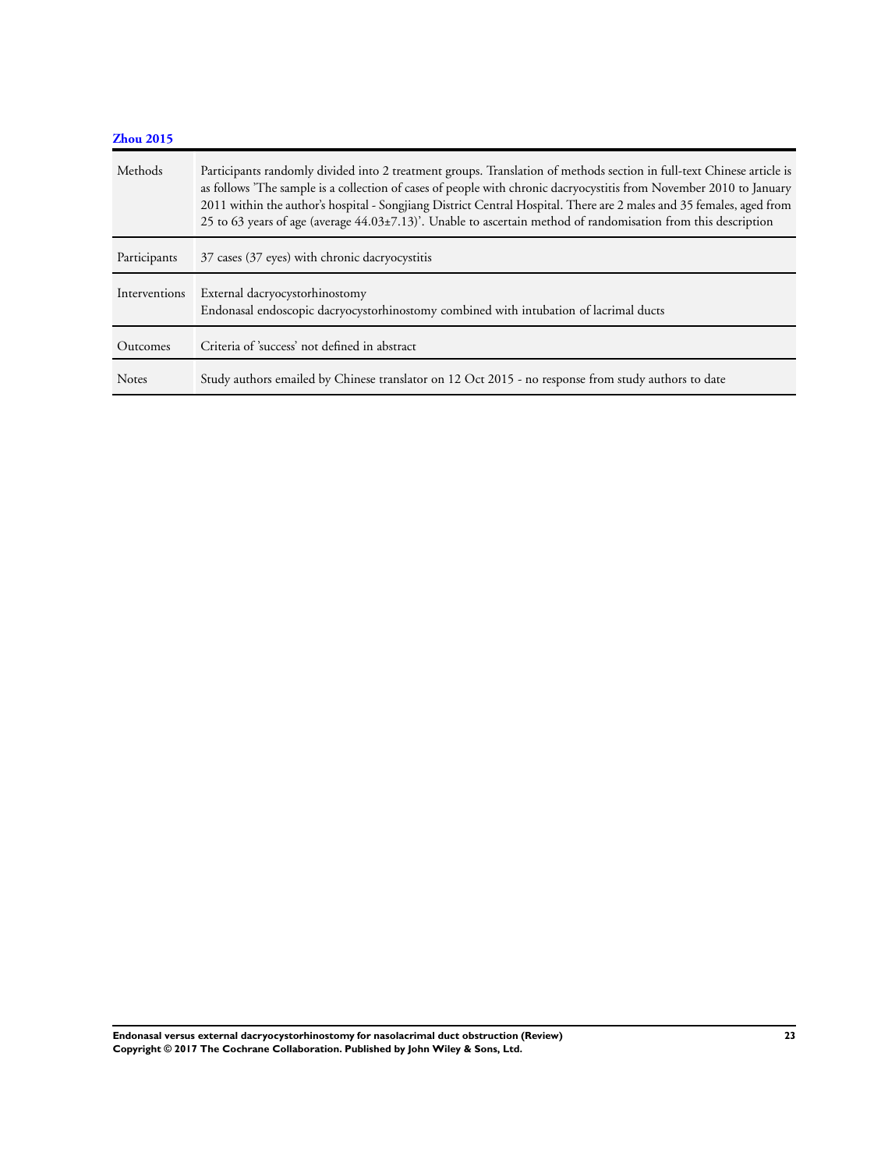| Zhou 2015     |                                                                                                                                                                                                                                                                                                                                                                                                                                                                                            |
|---------------|--------------------------------------------------------------------------------------------------------------------------------------------------------------------------------------------------------------------------------------------------------------------------------------------------------------------------------------------------------------------------------------------------------------------------------------------------------------------------------------------|
| Methods       | Participants randomly divided into 2 treatment groups. Translation of methods section in full-text Chinese article is<br>as follows 'The sample is a collection of cases of people with chronic dacryocystitis from November 2010 to January<br>2011 within the author's hospital - Songjiang District Central Hospital. There are 2 males and 35 females, aged from<br>25 to 63 years of age (average $44.03\pm7.13$ ). Unable to ascertain method of randomisation from this description |
| Participants  | 37 cases (37 eyes) with chronic dacryocystitis                                                                                                                                                                                                                                                                                                                                                                                                                                             |
| Interventions | External dacryocystorhinostomy<br>Endonasal endoscopic dacryocystorhinostomy combined with intubation of lacrimal ducts                                                                                                                                                                                                                                                                                                                                                                    |
| Outcomes      | Criteria of 'success' not defined in abstract                                                                                                                                                                                                                                                                                                                                                                                                                                              |
| <b>Notes</b>  | Study authors emailed by Chinese translator on 12 Oct 2015 - no response from study authors to date                                                                                                                                                                                                                                                                                                                                                                                        |

**Endonasal versus external dacryocystorhinostomy for nasolacrimal duct obstruction (Review) 23 Copyright © 2017 The Cochrane Collaboration. Published by John Wiley & Sons, Ltd.**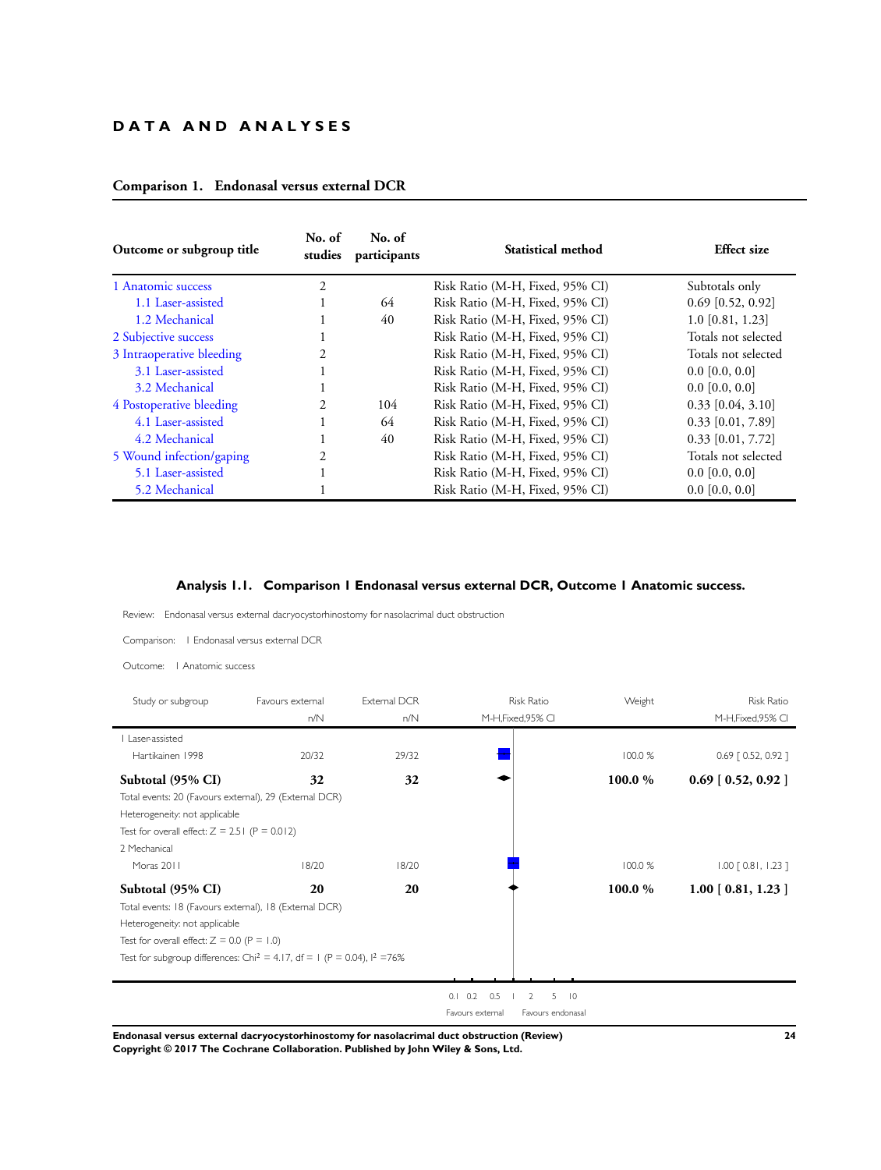# **D A T A A N D A N A L Y S E S**

| Outcome or subgroup title | No. of<br>studies | No. of<br>participants | Statistical method              | <b>Effect size</b>  |
|---------------------------|-------------------|------------------------|---------------------------------|---------------------|
| 1 Anatomic success        | $\overline{c}$    |                        | Risk Ratio (M-H, Fixed, 95% CI) | Subtotals only      |
| 1.1 Laser-assisted        |                   | 64                     | Risk Ratio (M-H, Fixed, 95% CI) | $0.69$ [0.52, 0.92] |
| 1.2 Mechanical            |                   | 40                     | Risk Ratio (M-H, Fixed, 95% CI) | $1.0$ [0.81, 1.23]  |
| 2 Subjective success      |                   |                        | Risk Ratio (M-H, Fixed, 95% CI) | Totals not selected |
| 3 Intraoperative bleeding |                   |                        | Risk Ratio (M-H, Fixed, 95% CI) | Totals not selected |
| 3.1 Laser-assisted        |                   |                        | Risk Ratio (M-H, Fixed, 95% CI) | $0.0$ [0.0, 0.0]    |
| 3.2 Mechanical            |                   |                        | Risk Ratio (M-H, Fixed, 95% CI) | $0.0$ [0.0, 0.0]    |
| 4 Postoperative bleeding  | $\mathfrak{D}$    | 104                    | Risk Ratio (M-H, Fixed, 95% CI) | $0.33$ [0.04, 3.10] |
| 4.1 Laser-assisted        |                   | 64                     | Risk Ratio (M-H, Fixed, 95% CI) | $0.33$ [0.01, 7.89] |
| 4.2 Mechanical            |                   | 40                     | Risk Ratio (M-H, Fixed, 95% CI) | $0.33$ [0.01, 7.72] |
| 5 Wound infection/gaping  |                   |                        | Risk Ratio (M-H, Fixed, 95% CI) | Totals not selected |
| 5.1 Laser-assisted        |                   |                        | Risk Ratio (M-H, Fixed, 95% CI) | $0.0$ [0.0, 0.0]    |
| 5.2 Mechanical            |                   |                        | Risk Ratio (M-H, Fixed, 95% CI) | $0.0$ [0.0, 0.0]    |

# **Comparison 1. Endonasal versus external DCR**

# **Analysis 1.1. Comparison 1 Endonasal versus external DCR, Outcome 1 Anatomic success.**

Review: Endonasal versus external dacryocystorhinostomy for nasolacrimal duct obstruction

Comparison: 1 Endonasal versus external DCR

| Anatomic success<br>Outcome:                                                          |                  |              |                        |                    |         |                         |
|---------------------------------------------------------------------------------------|------------------|--------------|------------------------|--------------------|---------|-------------------------|
| Study or subgroup                                                                     | Favours external | External DCR |                        | <b>Risk Ratio</b>  | Weight  | <b>Risk Ratio</b>       |
|                                                                                       | n/N              | n/N          |                        | M-H, Fixed, 95% CI |         | M-H, Fixed, 95% CI      |
| Laser-assisted                                                                        |                  |              |                        |                    |         |                         |
| Hartikainen 1998                                                                      | 20/32            | 29/32        |                        |                    | 100.0 % | $0.69$ $[ 0.52, 0.92 ]$ |
| Subtotal (95% CI)                                                                     | 32               | 32           |                        |                    | 100.0 % | $0.69$ [ 0.52, 0.92 ]   |
| Total events: 20 (Favours external), 29 (External DCR)                                |                  |              |                        |                    |         |                         |
| Heterogeneity: not applicable                                                         |                  |              |                        |                    |         |                         |
| Test for overall effect: $Z = 2.51$ (P = 0.012)                                       |                  |              |                        |                    |         |                         |
| 2 Mechanical                                                                          |                  |              |                        |                    |         |                         |
| Moras 2011                                                                            | 18/20            | 18/20        |                        |                    | 100.0%  | $1.00$ $[0.81, 1.23]$   |
| Subtotal (95% CI)                                                                     | 20               | 20           |                        |                    | 100.0 % | $1.00$ [ 0.81, 1.23 ]   |
| Total events: 18 (Favours external), 18 (External DCR)                                |                  |              |                        |                    |         |                         |
| Heterogeneity: not applicable                                                         |                  |              |                        |                    |         |                         |
| Test for overall effect: $Z = 0.0$ (P = 1.0)                                          |                  |              |                        |                    |         |                         |
| Test for subgroup differences: Chi <sup>2</sup> = 4.17, df = 1 (P = 0.04), $1^2$ =76% |                  |              |                        |                    |         |                         |
|                                                                                       |                  |              |                        |                    |         |                         |
|                                                                                       |                  |              | $0.1 \quad 0.2$<br>0.5 | $5$ $10$<br>2      |         |                         |
|                                                                                       |                  |              | Favours external       | Favours endonasal  |         |                         |

**Endonasal versus external dacryocystorhinostomy for nasolacrimal duct obstruction (Review) 24 Copyright © 2017 The Cochrane Collaboration. Published by John Wiley & Sons, Ltd.**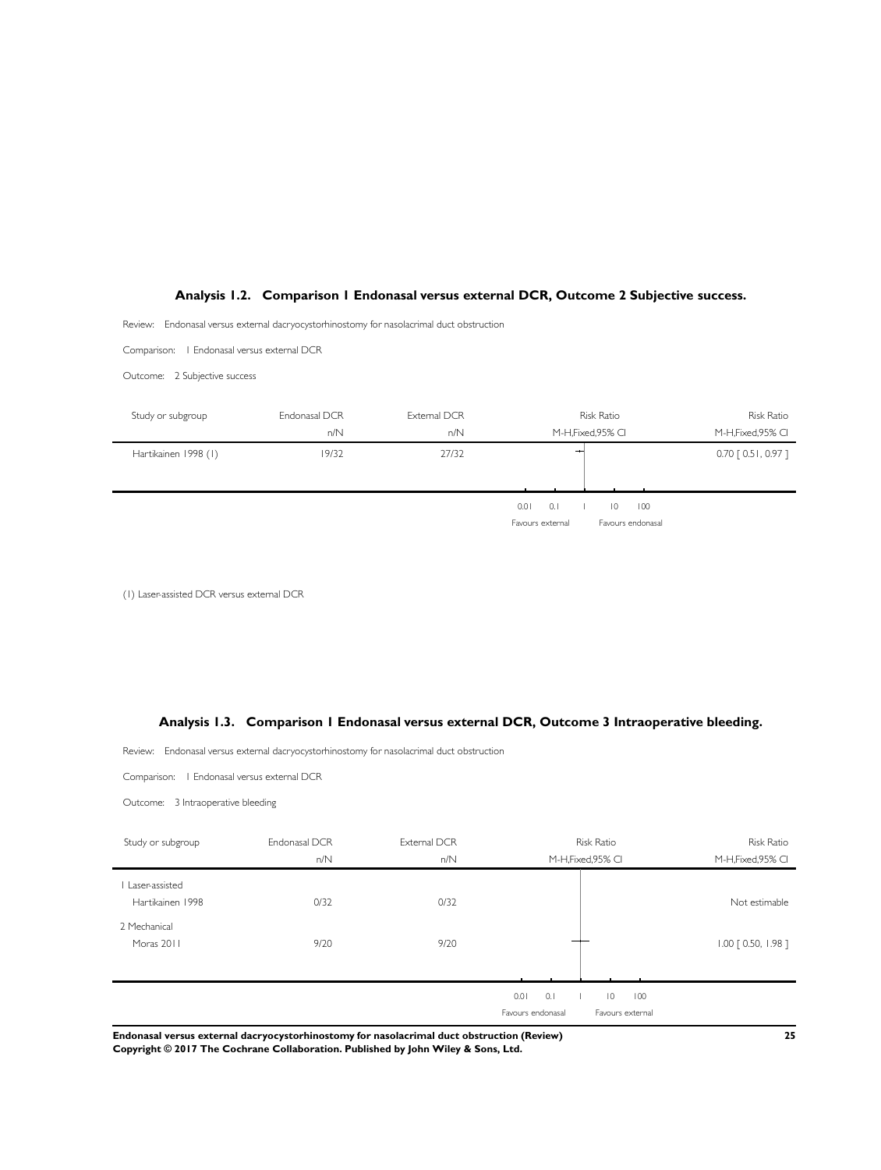#### <span id="page-27-0"></span>**Analysis 1.2. Comparison 1 Endonasal versus external DCR, Outcome 2 Subjective success.**

Review: Endonasal versus external dacryocystorhinostomy for nasolacrimal duct obstruction

Comparison: 1 Endonasal versus external DCR

Outcome: 2 Subjective success



(1) Laser-assisted DCR versus external DCR

#### **Analysis 1.3. Comparison 1 Endonasal versus external DCR, Outcome 3 Intraoperative bleeding.**

Review: Endonasal versus external dacryocystorhinostomy for nasolacrimal duct obstruction

Comparison: 1 Endonasal versus external DCR

Outcome: 3 Intraoperative bleeding

| Study or subgroup | Endonasal DCR | External DCR | <b>Risk Ratio</b> |                       | <b>Risk Ratio</b>     |
|-------------------|---------------|--------------|-------------------|-----------------------|-----------------------|
|                   | n/N           | n/N          |                   | M-H, Fixed, 95% CI    | M-H, Fixed, 95% CI    |
| I Laser-assisted  |               |              |                   |                       |                       |
| Hartikainen 1998  | 0/32          | 0/32         |                   |                       | Not estimable         |
| 2 Mechanical      |               |              |                   |                       |                       |
| Moras 2011        | 9/20          | 9/20         |                   |                       | $1.00$ $[0.50, 1.98]$ |
|                   |               |              |                   |                       |                       |
|                   |               |              | 0.1<br>0.01       | $\overline{0}$<br>100 |                       |
|                   |               |              | Favours endonasal | Favours external      |                       |

**Endonasal versus external dacryocystorhinostomy for nasolacrimal duct obstruction (Review) 25 Copyright © 2017 The Cochrane Collaboration. Published by John Wiley & Sons, Ltd.**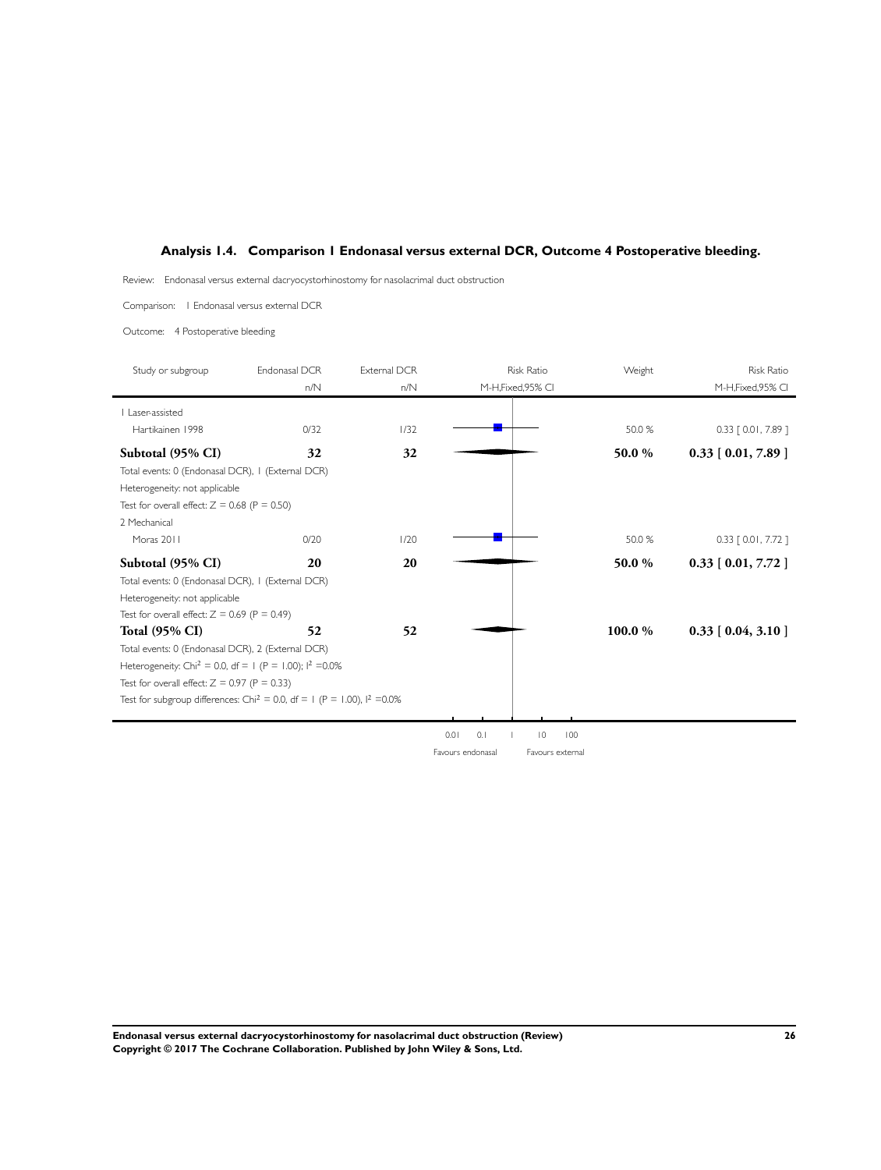# <span id="page-28-0"></span>**Analysis 1.4. Comparison 1 Endonasal versus external DCR, Outcome 4 Postoperative bleeding.**

Review: Endonasal versus external dacryocystorhinostomy for nasolacrimal duct obstruction

Comparison: 1 Endonasal versus external DCR

Outcome: 4 Postoperative bleeding

| Study or subgroup                                                                      | Endonasal DCR | External DCR | <b>Risk Ratio</b>  | Weight | <b>Risk Ratio</b>     |
|----------------------------------------------------------------------------------------|---------------|--------------|--------------------|--------|-----------------------|
|                                                                                        | n/N           | n/N          | M-H, Fixed, 95% CI |        | M-H, Fixed, 95% CI    |
| Laser-assisted                                                                         |               |              |                    |        |                       |
| Hartikainen 1998                                                                       | 0/32          | 1/32         |                    | 50.0 % | $0.33$ [ 0.01, 7.89 ] |
| Subtotal (95% CI)                                                                      | 32            | 32           |                    | 50.0 % | $0.33$ [ 0.01, 7.89 ] |
| Total events: 0 (Endonasal DCR), 1 (External DCR)                                      |               |              |                    |        |                       |
| Heterogeneity: not applicable                                                          |               |              |                    |        |                       |
| Test for overall effect: $Z = 0.68$ (P = 0.50)                                         |               |              |                    |        |                       |
| 2 Mechanical                                                                           |               |              |                    |        |                       |
| Moras 2011                                                                             | 0/20          | 1/20         |                    | 50.0 % | $0.33$ [ 0.01, 7.72 ] |
| Subtotal (95% CI)                                                                      | 20            | 20           |                    | 50.0 % | $0.33$ [ 0.01, 7.72 ] |
| Total events: 0 (Endonasal DCR), 1 (External DCR)                                      |               |              |                    |        |                       |
| Heterogeneity: not applicable                                                          |               |              |                    |        |                       |
| Test for overall effect: $Z = 0.69$ (P = 0.49)                                         |               |              |                    |        |                       |
| <b>Total (95% CI)</b>                                                                  | 52            | 52           |                    | 100.0% | $0.33$ [ 0.04, 3.10 ] |
| Total events: 0 (Endonasal DCR), 2 (External DCR)                                      |               |              |                    |        |                       |
| Heterogeneity: Chi <sup>2</sup> = 0.0, df = 1 (P = 1.00); $1^2$ =0.0%                  |               |              |                    |        |                       |
| Test for overall effect: $Z = 0.97$ (P = 0.33)                                         |               |              |                    |        |                       |
| Test for subgroup differences: Chi <sup>2</sup> = 0.0, df = 1 (P = 1.00), $1^2$ = 0.0% |               |              |                    |        |                       |
|                                                                                        |               |              |                    |        |                       |

0.01 0.1 1 10 100 Favours endonasal Favours external

**Endonasal versus external dacryocystorhinostomy for nasolacrimal duct obstruction (Review) 26 Copyright © 2017 The Cochrane Collaboration. Published by John Wiley & Sons, Ltd.**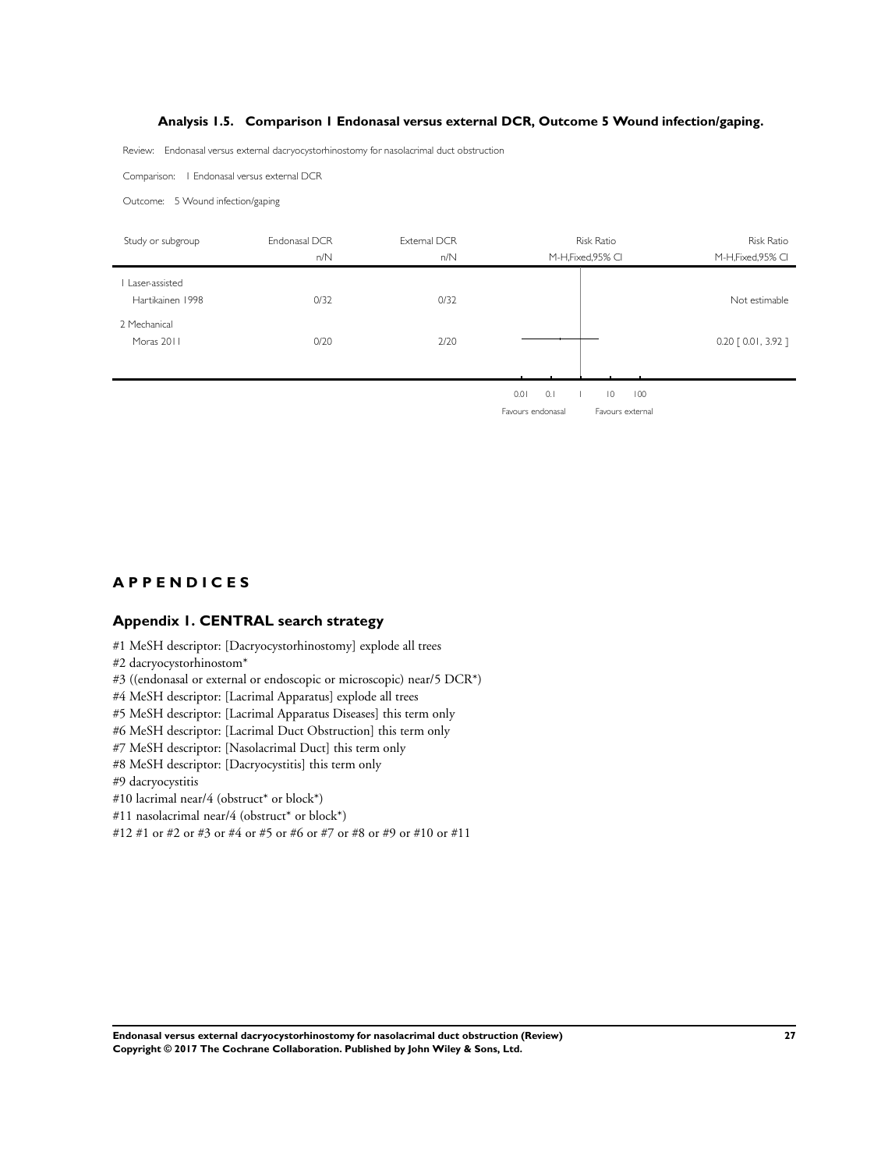# **Analysis 1.5. Comparison 1 Endonasal versus external DCR, Outcome 5 Wound infection/gaping.**

<span id="page-29-0"></span>Review: Endonasal versus external dacryocystorhinostomy for nasolacrimal duct obstruction

Comparison: 1 Endonasal versus external DCR

Outcome: 5 Wound infection/gaping

| Study or subgroup                  | Endonasal DCR | External DCR | <b>Risk Ratio</b>                    | Risk Ratio            |
|------------------------------------|---------------|--------------|--------------------------------------|-----------------------|
|                                    | n/N           | n/N          | M-H, Fixed, 95% CI                   | M-H, Fixed, 95% CI    |
| Laser-assisted<br>Hartikainen 1998 | 0/32          | 0/32         |                                      | Not estimable         |
| 2 Mechanical<br>Moras 2011         | 0/20          | 2/20         |                                      | $0.20$ $[0.01, 3.92]$ |
|                                    |               |              |                                      |                       |
|                                    |               |              | 0.1<br>$\overline{0}$<br>100<br>0.01 |                       |

Favours endonasal Favours external

# **A P P E N D I C E S**

# **Appendix 1. CENTRAL search strategy**

#1 MeSH descriptor: [Dacryocystorhinostomy] explode all trees

#2 dacryocystorhinostom\*

#3 ((endonasal or external or endoscopic or microscopic) near/5 DCR\*)

#4 MeSH descriptor: [Lacrimal Apparatus] explode all trees

#5 MeSH descriptor: [Lacrimal Apparatus Diseases] this term only

#6 MeSH descriptor: [Lacrimal Duct Obstruction] this term only

#7 MeSH descriptor: [Nasolacrimal Duct] this term only

#8 MeSH descriptor: [Dacryocystitis] this term only

#9 dacryocystitis

#10 lacrimal near/4 (obstruct\* or block\*)

#11 nasolacrimal near/4 (obstruct\* or block\*)

#12 #1 or #2 or #3 or #4 or #5 or #6 or #7 or #8 or #9 or #10 or #11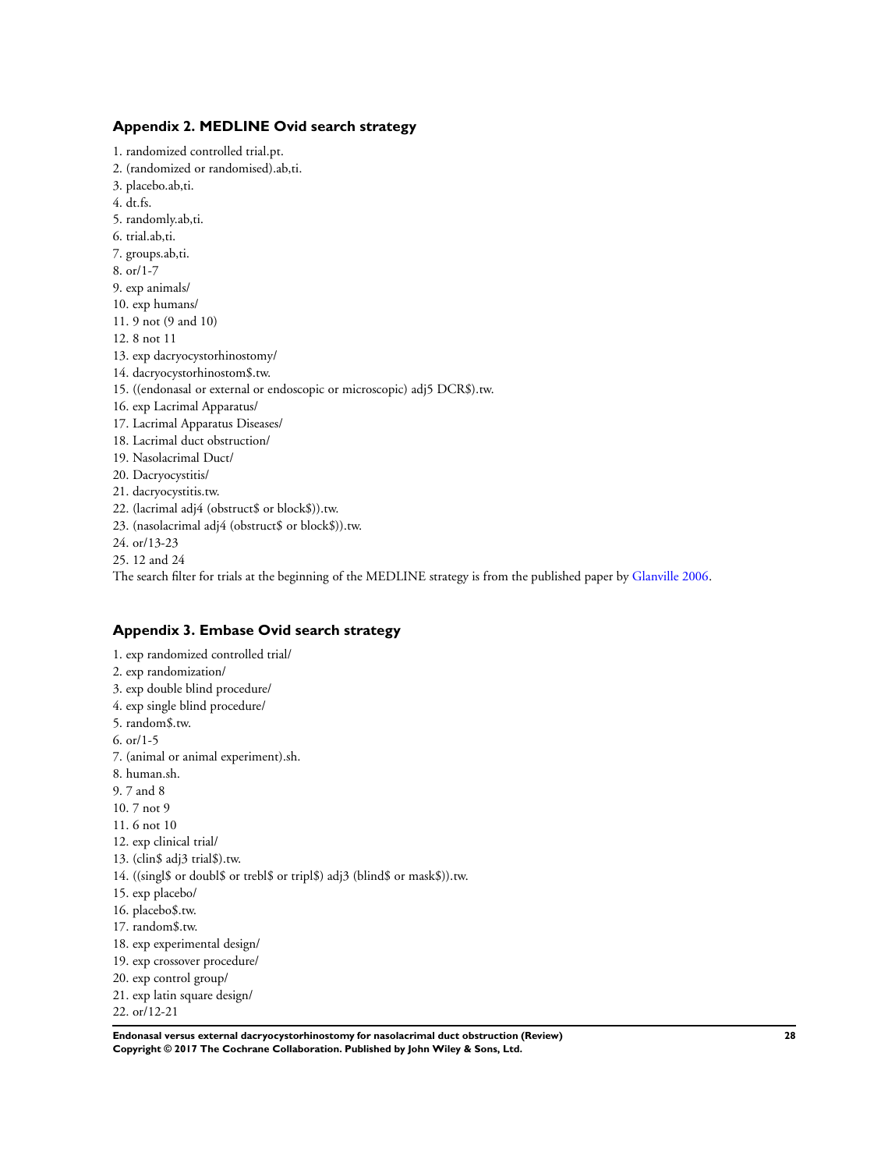### <span id="page-30-0"></span>**Appendix 2. MEDLINE Ovid search strategy**

1. randomized controlled trial.pt. 2. (randomized or randomised).ab,ti. 3. placebo.ab,ti. 4. dt.fs. 5. randomly.ab,ti. 6. trial.ab,ti. 7. groups.ab,ti. 8. or/1-7 9. exp animals/ 10. exp humans/ 11. 9 not (9 and 10) 12. 8 not 11 13. exp dacryocystorhinostomy/ 14. dacryocystorhinostom\$.tw. 15. ((endonasal or external or endoscopic or microscopic) adj5 DCR\$).tw. 16. exp Lacrimal Apparatus/ 17. Lacrimal Apparatus Diseases/ 18. Lacrimal duct obstruction/ 19. Nasolacrimal Duct/ 20. Dacryocystitis/ 21. dacryocystitis.tw. 22. (lacrimal adj4 (obstruct\$ or block\$)).tw. 23. (nasolacrimal adj4 (obstruct\$ or block\$)).tw. 24. or/13-23 25. 12 and 24 The search filter for trials at the beginning of the MEDLINE strategy is from the published paper by [Glanville 2006](#page-18-0).

# **Appendix 3. Embase Ovid search strategy**

1. exp randomized controlled trial/ 2. exp randomization/ 3. exp double blind procedure/ 4. exp single blind procedure/ 5. random\$.tw. 6. or/1-5 7. (animal or animal experiment).sh. 8. human.sh. 9. 7 and 8 10. 7 not 9 11. 6 not 10 12. exp clinical trial/ 13. (clin\$ adj3 trial\$).tw. 14. ((singl\$ or doubl\$ or trebl\$ or tripl\$) adj3 (blind\$ or mask\$)).tw. 15. exp placebo/ 16. placebo\$.tw. 17. random\$.tw. 18. exp experimental design/ 19. exp crossover procedure/ 20. exp control group/ 21. exp latin square design/ 22. or/12-21

**Endonasal versus external dacryocystorhinostomy for nasolacrimal duct obstruction (Review) 28 Copyright © 2017 The Cochrane Collaboration. Published by John Wiley & Sons, Ltd.**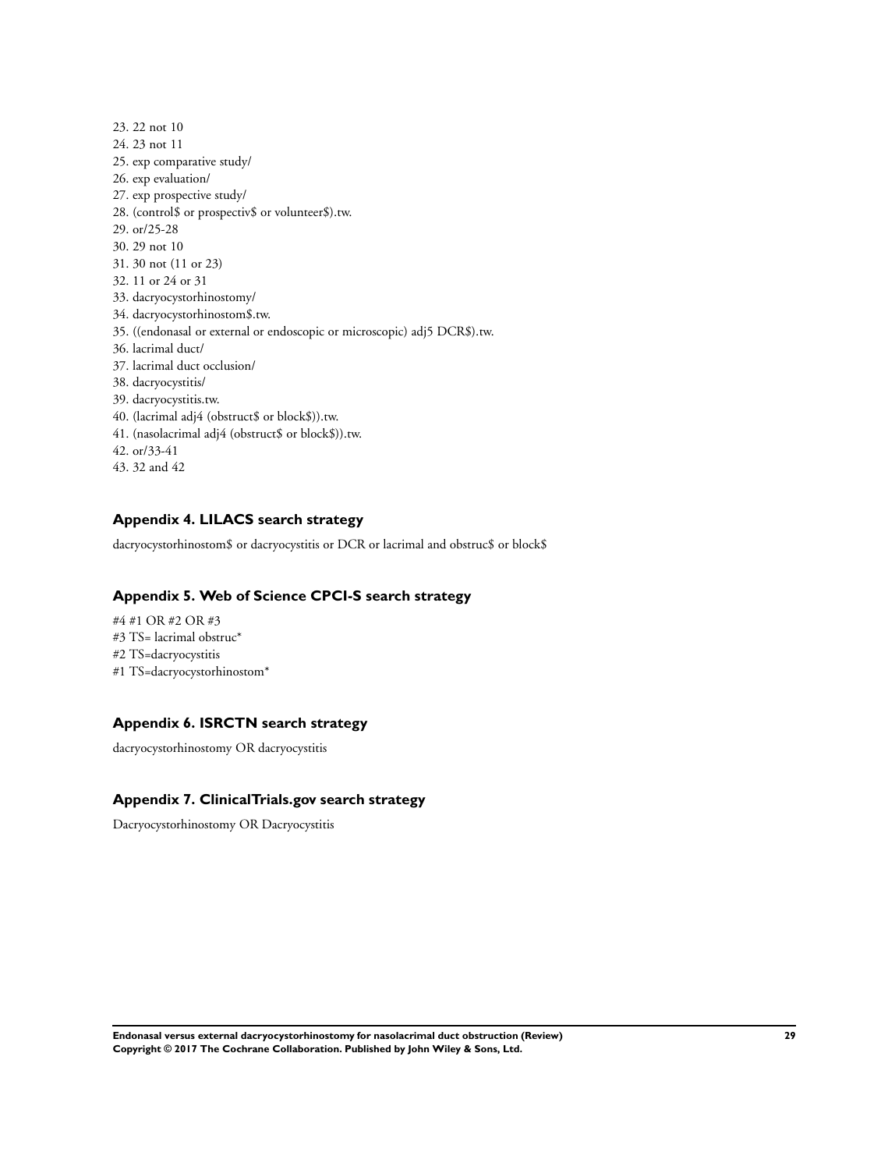<span id="page-31-0"></span>23. 22 not 10 24. 23 not 11 25. exp comparative study/ 26. exp evaluation/ 27. exp prospective study/ 28. (control\$ or prospectiv\$ or volunteer\$).tw. 29. or/25-28 30. 29 not 10 31. 30 not (11 or 23) 32. 11 or 24 or 31 33. dacryocystorhinostomy/ 34. dacryocystorhinostom\$.tw. 35. ((endonasal or external or endoscopic or microscopic) adj5 DCR\$).tw. 36. lacrimal duct/ 37. lacrimal duct occlusion/ 38. dacryocystitis/ 39. dacryocystitis.tw. 40. (lacrimal adj4 (obstruct\$ or block\$)).tw. 41. (nasolacrimal adj4 (obstruct\$ or block\$)).tw. 42. or/33-41 43. 32 and 42

# **Appendix 4. LILACS search strategy**

dacryocystorhinostom\$ or dacryocystitis or DCR or lacrimal and obstruc\$ or block\$

# **Appendix 5. Web of Science CPCI-S search strategy**

#4 #1 OR #2 OR #3 #3 TS= lacrimal obstruc\* #2 TS=dacryocystitis #1 TS=dacryocystorhinostom\*

# **Appendix 6. ISRCTN search strategy**

dacryocystorhinostomy OR dacryocystitis

# **Appendix 7. ClinicalTrials.gov search strategy**

Dacryocystorhinostomy OR Dacryocystitis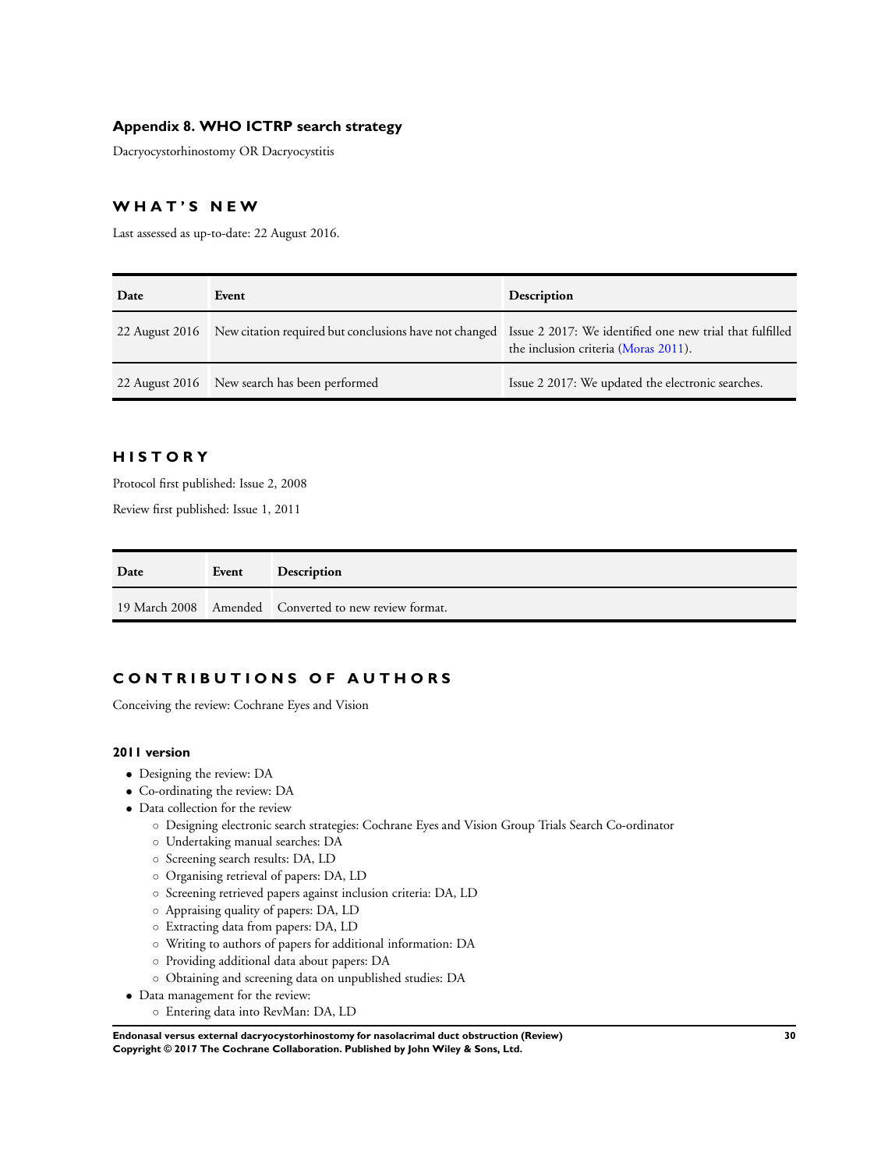# <span id="page-32-0"></span>**Appendix 8. WHO ICTRP search strategy**

Dacryocystorhinostomy OR Dacryocystitis

# **W H A T ' S N E W**

Last assessed as up-to-date: 22 August 2016.

| Date           | Event                                                                                                           | Description                                       |
|----------------|-----------------------------------------------------------------------------------------------------------------|---------------------------------------------------|
| 22 August 2016 | New citation required but conclusions have not changed Issue 2 2017: We identified one new trial that fulfilled | the inclusion criteria (Moras 2011).              |
|                | 22 August 2016 New search has been performed                                                                    | Issue 2 2017: We updated the electronic searches. |

# **H I S T O R Y**

Protocol first published: Issue 2, 2008

Review first published: Issue 1, 2011

| Date | Event | <b>Description</b>                                    |
|------|-------|-------------------------------------------------------|
|      |       | 19 March 2008 Amended Converted to new review format. |

# **C O N T R I B U T I O N S O F A U T H O R S**

Conceiving the review: Cochrane Eyes and Vision

#### **2011 version**

- Designing the review: DA
- Co-ordinating the review: DA
- Data collection for the review
	- Designing electronic search strategies: Cochrane Eyes and Vision Group Trials Search Co-ordinator
	- Undertaking manual searches: DA
	- Screening search results: DA, LD
	- Organising retrieval of papers: DA, LD
	- Screening retrieved papers against inclusion criteria: DA, LD
	- Appraising quality of papers: DA, LD
	- Extracting data from papers: DA, LD
	- Writing to authors of papers for additional information: DA
	- Providing additional data about papers: DA
	- Obtaining and screening data on unpublished studies: DA
- Data management for the review:
	- Entering data into RevMan: DA, LD

**Endonasal versus external dacryocystorhinostomy for nasolacrimal duct obstruction (Review) 30 Copyright © 2017 The Cochrane Collaboration. Published by John Wiley & Sons, Ltd.**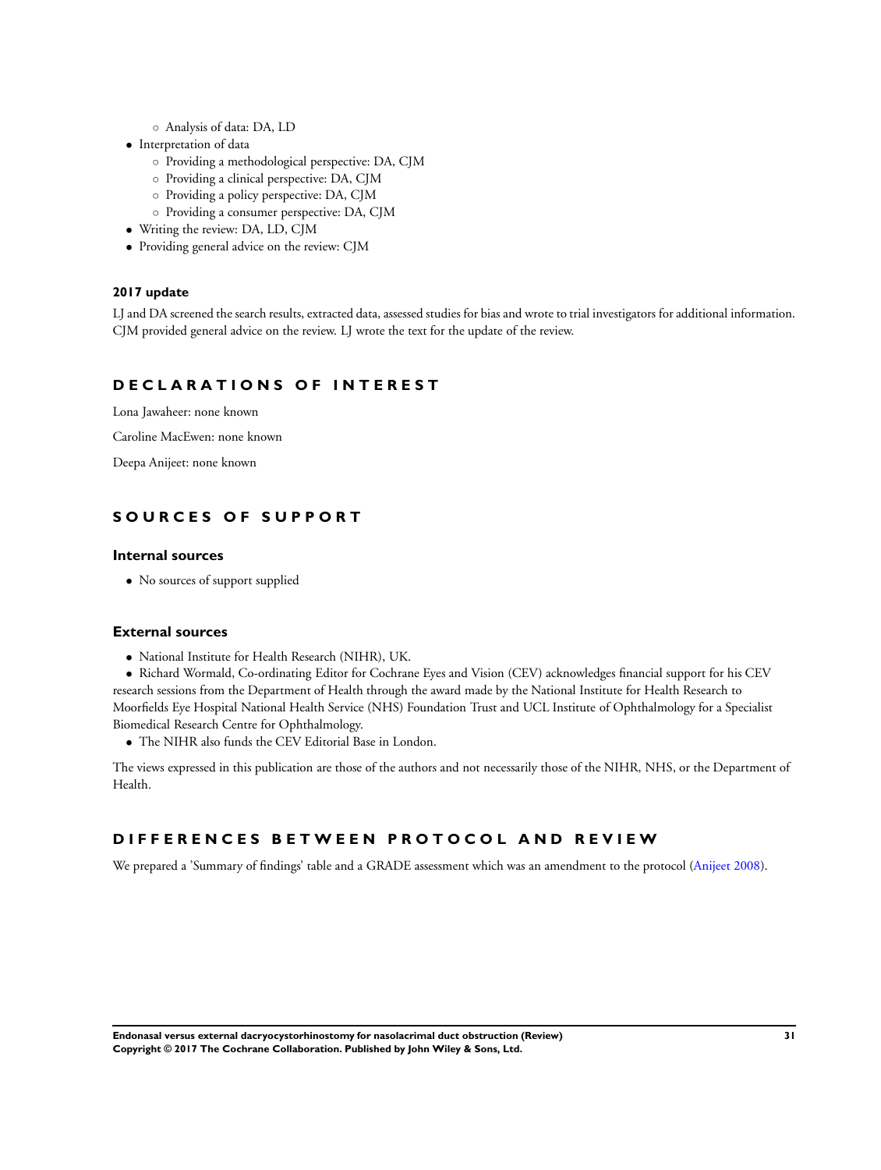- Analysis of data: DA, LD
- Interpretation of data
	- Providing a methodological perspective: DA, CJM
	- Providing a clinical perspective: DA, CJM
	- Providing a policy perspective: DA, CJM
	- Providing a consumer perspective: DA, CJM
- Writing the review: DA, LD, CJM
- Providing general advice on the review: CJM

#### **2017 update**

LJ and DA screened the search results, extracted data, assessed studies for bias and wrote to trial investigators for additional information. CJM provided general advice on the review. LJ wrote the text for the update of the review.

# **D E C L A R A T I O N S O F I N T E R E S T**

Lona Jawaheer: none known

Caroline MacEwen: none known

Deepa Anijeet: none known

# **S O U R C E S O F S U P P O R T**

# **Internal sources**

• No sources of support supplied

#### **External sources**

• National Institute for Health Research (NIHR), UK.

• Richard Wormald, Co-ordinating Editor for Cochrane Eyes and Vision (CEV) acknowledges financial support for his CEV research sessions from the Department of Health through the award made by the National Institute for Health Research to Moorfields Eye Hospital National Health Service (NHS) Foundation Trust and UCL Institute of Ophthalmology for a Specialist Biomedical Research Centre for Ophthalmology.

• The NIHR also funds the CEV Editorial Base in London.

The views expressed in this publication are those of the authors and not necessarily those of the NIHR, NHS, or the Department of Health.

# **D I F F E R E N C E S B E T W E E N P R O T O C O L A N D R E V I E W**

We prepared a 'Summary of findings' table and a GRADE assessment which was an amendment to the protocol [\(Anijeet 2008](#page-18-0)).